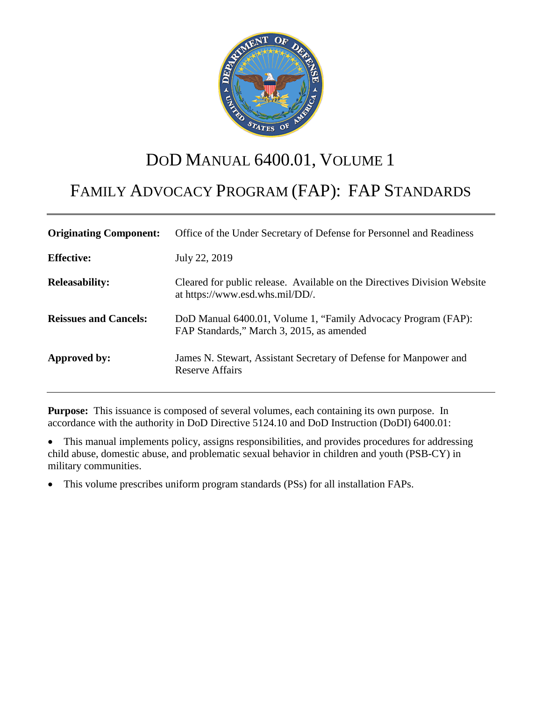

# DOD MANUAL 6400.01, VOLUME 1

# FAMILY ADVOCACY PROGRAM (FAP): FAP STANDARDS

| <b>Originating Component:</b> | Office of the Under Secretary of Defense for Personnel and Readiness                                        |
|-------------------------------|-------------------------------------------------------------------------------------------------------------|
| <b>Effective:</b>             | July 22, 2019                                                                                               |
| <b>Releasability:</b>         | Cleared for public release. Available on the Directives Division Website<br>at https://www.esd.whs.mil/DD/. |
| <b>Reissues and Cancels:</b>  | DoD Manual 6400.01, Volume 1, "Family Advocacy Program (FAP):<br>FAP Standards," March 3, 2015, as amended  |
| Approved by:                  | James N. Stewart, Assistant Secretary of Defense for Manpower and<br>Reserve Affairs                        |

**Purpose:** This issuance is composed of several volumes, each containing its own purpose. In accordance with the authority in DoD Directive 5124.10 and DoD Instruction (DoDI) 6400.01:

- This manual implements policy, assigns responsibilities, and provides procedures for addressing child abuse, domestic abuse, and problematic sexual behavior in children and youth (PSB-CY) in military communities.
- This volume prescribes uniform program standards (PSs) for all installation FAPs.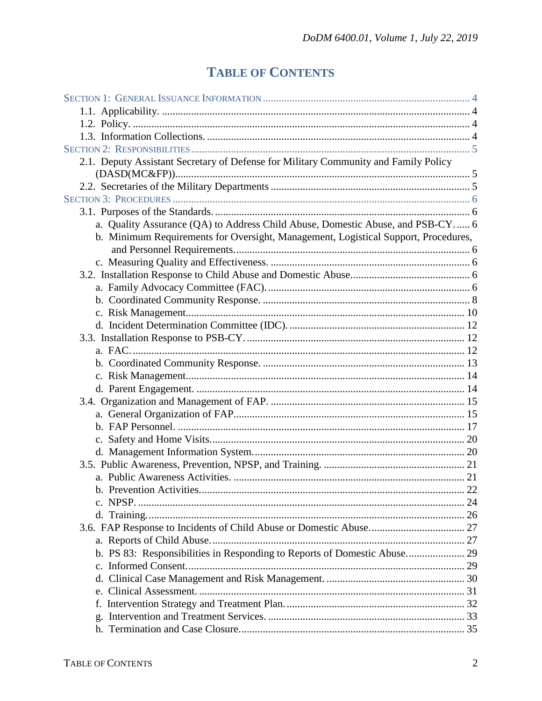# **TABLE OF CONTENTS**

| 2.1. Deputy Assistant Secretary of Defense for Military Community and Family Policy |  |
|-------------------------------------------------------------------------------------|--|
|                                                                                     |  |
|                                                                                     |  |
|                                                                                     |  |
| a. Quality Assurance (QA) to Address Child Abuse, Domestic Abuse, and PSB-CY 6      |  |
| b. Minimum Requirements for Oversight, Management, Logistical Support, Procedures,  |  |
|                                                                                     |  |
|                                                                                     |  |
|                                                                                     |  |
|                                                                                     |  |
|                                                                                     |  |
|                                                                                     |  |
|                                                                                     |  |
|                                                                                     |  |
|                                                                                     |  |
|                                                                                     |  |
|                                                                                     |  |
|                                                                                     |  |
|                                                                                     |  |
|                                                                                     |  |
|                                                                                     |  |
|                                                                                     |  |
|                                                                                     |  |
|                                                                                     |  |
|                                                                                     |  |
|                                                                                     |  |
| c. NPSP.                                                                            |  |
|                                                                                     |  |
|                                                                                     |  |
|                                                                                     |  |
| b. PS 83: Responsibilities in Responding to Reports of Domestic Abuse 29            |  |
|                                                                                     |  |
|                                                                                     |  |
|                                                                                     |  |
| f.                                                                                  |  |
|                                                                                     |  |
|                                                                                     |  |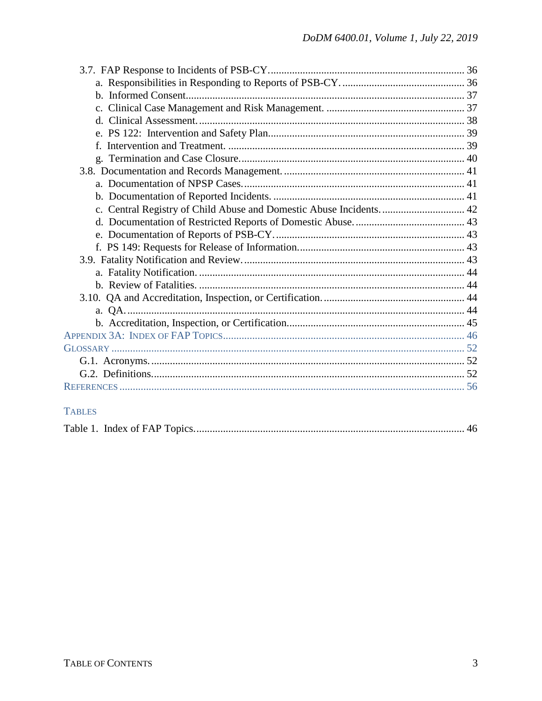| c. Central Registry of Child Abuse and Domestic Abuse Incidents 42 |  |
|--------------------------------------------------------------------|--|
|                                                                    |  |
|                                                                    |  |
|                                                                    |  |
|                                                                    |  |
|                                                                    |  |
|                                                                    |  |
|                                                                    |  |
|                                                                    |  |
|                                                                    |  |
|                                                                    |  |
|                                                                    |  |
|                                                                    |  |
|                                                                    |  |
|                                                                    |  |

# **TABLES**

|--|--|--|--|--|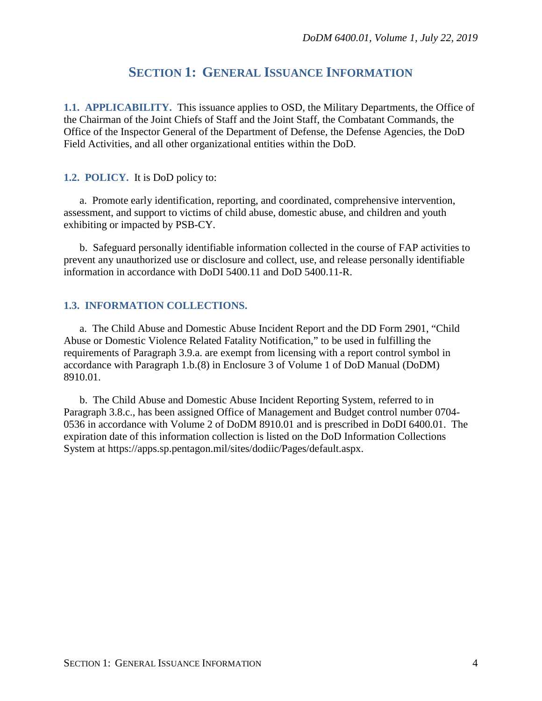# **SECTION 1: GENERAL ISSUANCE INFORMATION**

<span id="page-3-1"></span><span id="page-3-0"></span>**1.1. APPLICABILITY.** This issuance applies to OSD, the Military Departments, the Office of the Chairman of the Joint Chiefs of Staff and the Joint Staff, the Combatant Commands, the Office of the Inspector General of the Department of Defense, the Defense Agencies, the DoD Field Activities, and all other organizational entities within the DoD.

#### <span id="page-3-2"></span>**1.2. POLICY.** It is DoD policy to:

a. Promote early identification, reporting, and coordinated, comprehensive intervention, assessment, and support to victims of child abuse, domestic abuse, and children and youth exhibiting or impacted by PSB-CY.

b. Safeguard personally identifiable information collected in the course of FAP activities to prevent any unauthorized use or disclosure and collect, use, and release personally identifiable information in accordance with DoDI 5400.11 and DoD 5400.11-R.

#### <span id="page-3-3"></span>**1.3. INFORMATION COLLECTIONS.**

a. The Child Abuse and Domestic Abuse Incident Report and the DD Form 2901, "Child Abuse or Domestic Violence Related Fatality Notification," to be used in fulfilling the requirements of Paragraph 3.9.a. are exempt from licensing with a report control symbol in accordance with Paragraph 1.b.(8) in Enclosure 3 of Volume 1 of DoD Manual (DoDM) 8910.01.

b. The Child Abuse and Domestic Abuse Incident Reporting System, referred to in Paragraph 3.8.c., has been assigned Office of Management and Budget control number 0704- 0536 in accordance with Volume 2 of DoDM 8910.01 and is prescribed in DoDI 6400.01. The expiration date of this information collection is listed on the DoD Information Collections System at https://apps.sp.pentagon.mil/sites/dodiic/Pages/default.aspx.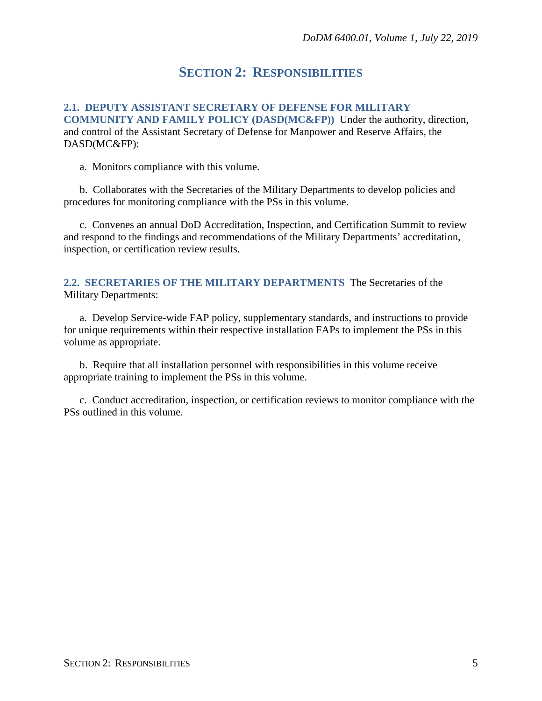# **SECTION 2: RESPONSIBILITIES**

<span id="page-4-1"></span><span id="page-4-0"></span>**2.1. DEPUTY ASSISTANT SECRETARY OF DEFENSE FOR MILITARY COMMUNITY AND FAMILY POLICY (DASD(MC&FP))** Under the authority, direction, and control of the Assistant Secretary of Defense for Manpower and Reserve Affairs, the DASD(MC&FP):

a. Monitors compliance with this volume.

b. Collaborates with the Secretaries of the Military Departments to develop policies and procedures for monitoring compliance with the PSs in this volume.

c. Convenes an annual DoD Accreditation, Inspection, and Certification Summit to review and respond to the findings and recommendations of the Military Departments' accreditation, inspection, or certification review results.

<span id="page-4-2"></span>**2.2. SECRETARIES OF THE MILITARY DEPARTMENTS** The Secretaries of the Military Departments:

a. Develop Service-wide FAP policy, supplementary standards, and instructions to provide for unique requirements within their respective installation FAPs to implement the PSs in this volume as appropriate.

b. Require that all installation personnel with responsibilities in this volume receive appropriate training to implement the PSs in this volume.

c. Conduct accreditation, inspection, or certification reviews to monitor compliance with the PSs outlined in this volume.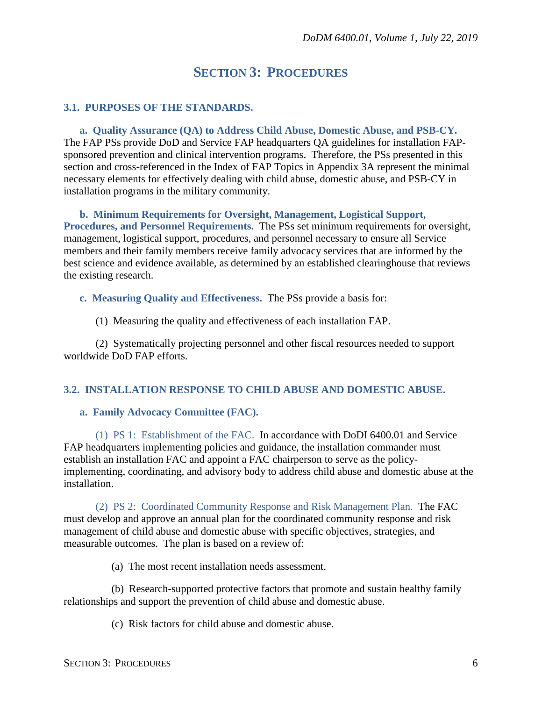# **SECTION 3: PROCEDURES**

#### <span id="page-5-1"></span><span id="page-5-0"></span>**3.1. PURPOSES OF THE STANDARDS.**

<span id="page-5-2"></span>**a. Quality Assurance (QA) to Address Child Abuse, Domestic Abuse, and PSB-CY.** The FAP PSs provide DoD and Service FAP headquarters QA guidelines for installation FAPsponsored prevention and clinical intervention programs. Therefore, the PSs presented in this section and cross-referenced in the Index of FAP Topics in Appendix 3A represent the minimal necessary elements for effectively dealing with child abuse, domestic abuse, and PSB-CY in installation programs in the military community.

<span id="page-5-3"></span>**b. Minimum Requirements for Oversight, Management, Logistical Support, Procedures, and Personnel Requirements.** The PSs set minimum requirements for oversight, management, logistical support, procedures, and personnel necessary to ensure all Service members and their family members receive family advocacy services that are informed by the best science and evidence available, as determined by an established clearinghouse that reviews the existing research.

<span id="page-5-4"></span>**c. Measuring Quality and Effectiveness.** The PSs provide a basis for:

(1) Measuring the quality and effectiveness of each installation FAP.

(2) Systematically projecting personnel and other fiscal resources needed to support worldwide DoD FAP efforts.

#### <span id="page-5-5"></span>**3.2. INSTALLATION RESPONSE TO CHILD ABUSE AND DOMESTIC ABUSE.**

#### <span id="page-5-6"></span>**a. Family Advocacy Committee (FAC).**

(1) PS 1: Establishment of the FAC. In accordance with DoDI 6400.01 and Service FAP headquarters implementing policies and guidance, the installation commander must establish an installation FAC and appoint a FAC chairperson to serve as the policyimplementing, coordinating, and advisory body to address child abuse and domestic abuse at the installation.

(2) PS 2: Coordinated Community Response and Risk Management Plan. The FAC must develop and approve an annual plan for the coordinated community response and risk management of child abuse and domestic abuse with specific objectives, strategies, and measurable outcomes. The plan is based on a review of:

(a) The most recent installation needs assessment.

(b) Research-supported protective factors that promote and sustain healthy family relationships and support the prevention of child abuse and domestic abuse.

(c) Risk factors for child abuse and domestic abuse.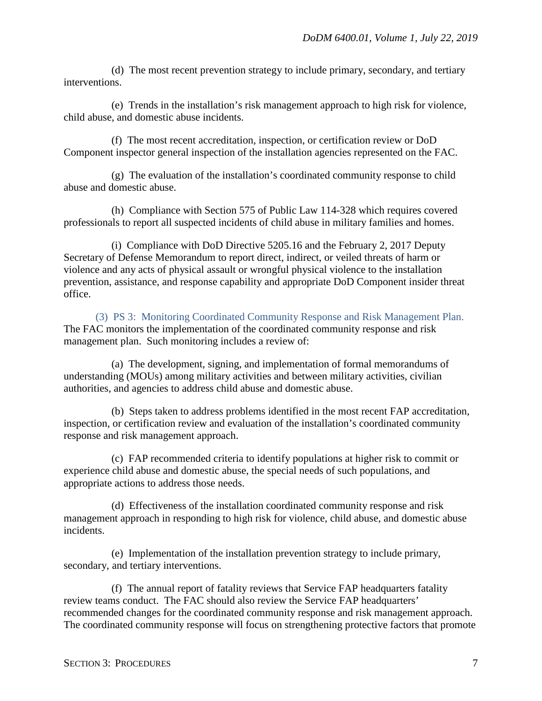(d) The most recent prevention strategy to include primary, secondary, and tertiary interventions.

(e) Trends in the installation's risk management approach to high risk for violence, child abuse, and domestic abuse incidents.

(f) The most recent accreditation, inspection, or certification review or DoD Component inspector general inspection of the installation agencies represented on the FAC.

(g) The evaluation of the installation's coordinated community response to child abuse and domestic abuse.

(h) Compliance with Section 575 of Public Law 114-328 which requires covered professionals to report all suspected incidents of child abuse in military families and homes.

(i) Compliance with DoD Directive 5205.16 and the February 2, 2017 Deputy Secretary of Defense Memorandum to report direct, indirect, or veiled threats of harm or violence and any acts of physical assault or wrongful physical violence to the installation prevention, assistance, and response capability and appropriate DoD Component insider threat office.

(3) PS 3: Monitoring Coordinated Community Response and Risk Management Plan. The FAC monitors the implementation of the coordinated community response and risk management plan. Such monitoring includes a review of:

(a) The development, signing, and implementation of formal memorandums of understanding (MOUs) among military activities and between military activities, civilian authorities, and agencies to address child abuse and domestic abuse.

(b) Steps taken to address problems identified in the most recent FAP accreditation, inspection, or certification review and evaluation of the installation's coordinated community response and risk management approach.

(c) FAP recommended criteria to identify populations at higher risk to commit or experience child abuse and domestic abuse, the special needs of such populations, and appropriate actions to address those needs.

(d) Effectiveness of the installation coordinated community response and risk management approach in responding to high risk for violence, child abuse, and domestic abuse incidents.

(e) Implementation of the installation prevention strategy to include primary, secondary, and tertiary interventions.

(f) The annual report of fatality reviews that Service FAP headquarters fatality review teams conduct. The FAC should also review the Service FAP headquarters' recommended changes for the coordinated community response and risk management approach. The coordinated community response will focus on strengthening protective factors that promote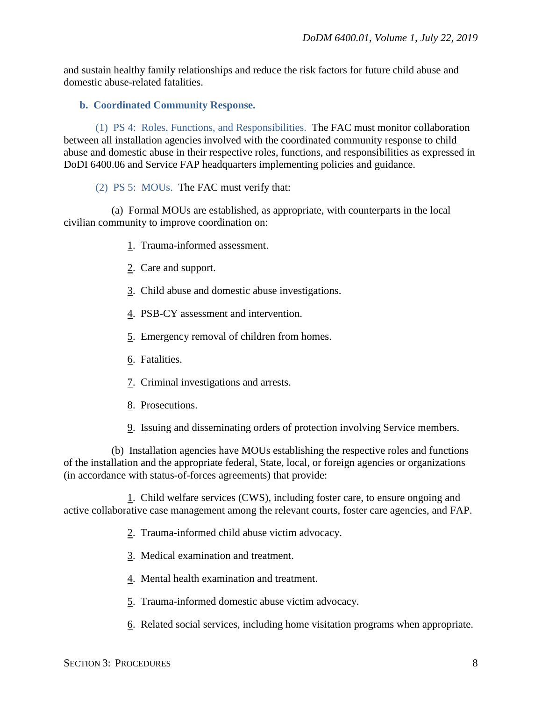and sustain healthy family relationships and reduce the risk factors for future child abuse and domestic abuse-related fatalities.

#### <span id="page-7-0"></span>**b. Coordinated Community Response.**

(1) PS 4: Roles, Functions, and Responsibilities. The FAC must monitor collaboration between all installation agencies involved with the coordinated community response to child abuse and domestic abuse in their respective roles, functions, and responsibilities as expressed in DoDI 6400.06 and Service FAP headquarters implementing policies and guidance.

#### (2) PS 5: MOUs. The FAC must verify that:

(a) Formal MOUs are established, as appropriate, with counterparts in the local civilian community to improve coordination on:

- 1. Trauma-informed assessment.
- 2. Care and support.
- 3. Child abuse and domestic abuse investigations.
- 4. PSB-CY assessment and intervention.
- 5. Emergency removal of children from homes.
- 6. Fatalities.
- 7. Criminal investigations and arrests.
- 8. Prosecutions.
- 9. Issuing and disseminating orders of protection involving Service members.

(b) Installation agencies have MOUs establishing the respective roles and functions of the installation and the appropriate federal, State, local, or foreign agencies or organizations (in accordance with status-of-forces agreements) that provide:

1. Child welfare services (CWS), including foster care, to ensure ongoing and active collaborative case management among the relevant courts, foster care agencies, and FAP.

- 2. Trauma-informed child abuse victim advocacy.
- 3. Medical examination and treatment.
- 4. Mental health examination and treatment.
- 5. Trauma-informed domestic abuse victim advocacy.
- 6. Related social services, including home visitation programs when appropriate.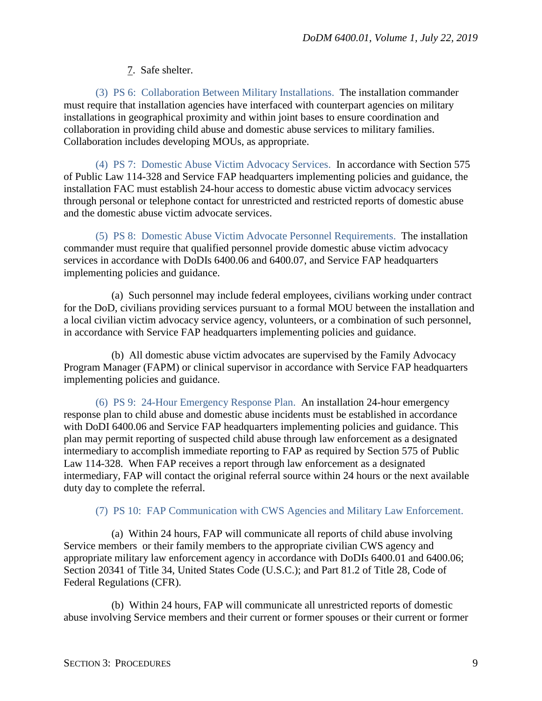### 7. Safe shelter.

(3) PS 6: Collaboration Between Military Installations. The installation commander must require that installation agencies have interfaced with counterpart agencies on military installations in geographical proximity and within joint bases to ensure coordination and collaboration in providing child abuse and domestic abuse services to military families. Collaboration includes developing MOUs, as appropriate.

(4) PS 7: Domestic Abuse Victim Advocacy Services. In accordance with Section 575 of Public Law 114-328 and Service FAP headquarters implementing policies and guidance, the installation FAC must establish 24-hour access to domestic abuse victim advocacy services through personal or telephone contact for unrestricted and restricted reports of domestic abuse and the domestic abuse victim advocate services.

(5) PS 8: Domestic Abuse Victim Advocate Personnel Requirements. The installation commander must require that qualified personnel provide domestic abuse victim advocacy services in accordance with DoDIs 6400.06 and 6400.07, and Service FAP headquarters implementing policies and guidance.

(a) Such personnel may include federal employees, civilians working under contract for the DoD, civilians providing services pursuant to a formal MOU between the installation and a local civilian victim advocacy service agency, volunteers, or a combination of such personnel, in accordance with Service FAP headquarters implementing policies and guidance.

(b) All domestic abuse victim advocates are supervised by the Family Advocacy Program Manager (FAPM) or clinical supervisor in accordance with Service FAP headquarters implementing policies and guidance.

(6) PS 9: 24-Hour Emergency Response Plan. An installation 24-hour emergency response plan to child abuse and domestic abuse incidents must be established in accordance with DoDI 6400.06 and Service FAP headquarters implementing policies and guidance. This plan may permit reporting of suspected child abuse through law enforcement as a designated intermediary to accomplish immediate reporting to FAP as required by Section 575 of Public Law 114-328. When FAP receives a report through law enforcement as a designated intermediary, FAP will contact the original referral source within 24 hours or the next available duty day to complete the referral.

### (7) PS 10: FAP Communication with CWS Agencies and Military Law Enforcement.

(a) Within 24 hours, FAP will communicate all reports of child abuse involving Service members or their family members to the appropriate civilian CWS agency and appropriate military law enforcement agency in accordance with DoDIs 6400.01 and 6400.06; Section 20341 of Title 34, United States Code (U.S.C.); and Part 81.2 of Title 28, Code of Federal Regulations (CFR).

(b) Within 24 hours, FAP will communicate all unrestricted reports of domestic abuse involving Service members and their current or former spouses or their current or former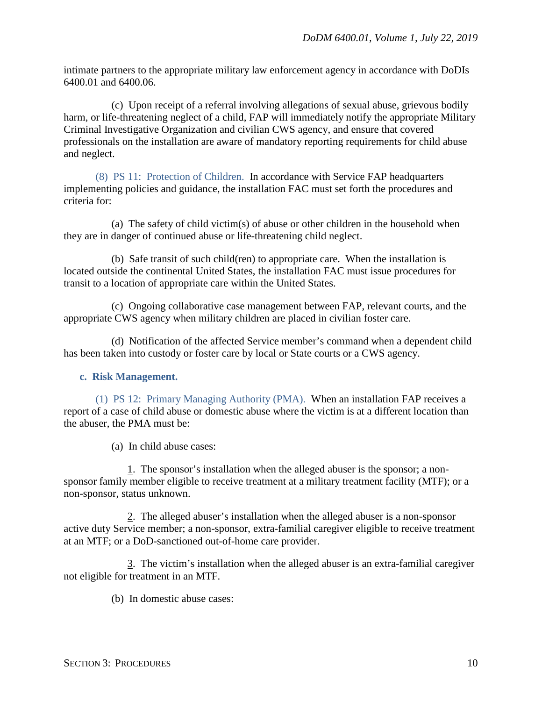intimate partners to the appropriate military law enforcement agency in accordance with DoDIs 6400.01 and 6400.06.

(c) Upon receipt of a referral involving allegations of sexual abuse, grievous bodily harm, or life-threatening neglect of a child, FAP will immediately notify the appropriate Military Criminal Investigative Organization and civilian CWS agency, and ensure that covered professionals on the installation are aware of mandatory reporting requirements for child abuse and neglect.

(8) PS 11: Protection of Children. In accordance with Service FAP headquarters implementing policies and guidance, the installation FAC must set forth the procedures and criteria for:

(a) The safety of child victim(s) of abuse or other children in the household when they are in danger of continued abuse or life-threatening child neglect.

(b) Safe transit of such child(ren) to appropriate care. When the installation is located outside the continental United States, the installation FAC must issue procedures for transit to a location of appropriate care within the United States.

(c) Ongoing collaborative case management between FAP, relevant courts, and the appropriate CWS agency when military children are placed in civilian foster care.

(d) Notification of the affected Service member's command when a dependent child has been taken into custody or foster care by local or State courts or a CWS agency.

#### <span id="page-9-0"></span>**c. Risk Management.**

(1) PS 12: Primary Managing Authority (PMA). When an installation FAP receives a report of a case of child abuse or domestic abuse where the victim is at a different location than the abuser, the PMA must be:

(a) In child abuse cases:

1. The sponsor's installation when the alleged abuser is the sponsor; a nonsponsor family member eligible to receive treatment at a military treatment facility (MTF); or a non-sponsor, status unknown.

2. The alleged abuser's installation when the alleged abuser is a non-sponsor active duty Service member; a non-sponsor, extra-familial caregiver eligible to receive treatment at an MTF; or a DoD-sanctioned out-of-home care provider.

3. The victim's installation when the alleged abuser is an extra-familial caregiver not eligible for treatment in an MTF.

(b) In domestic abuse cases: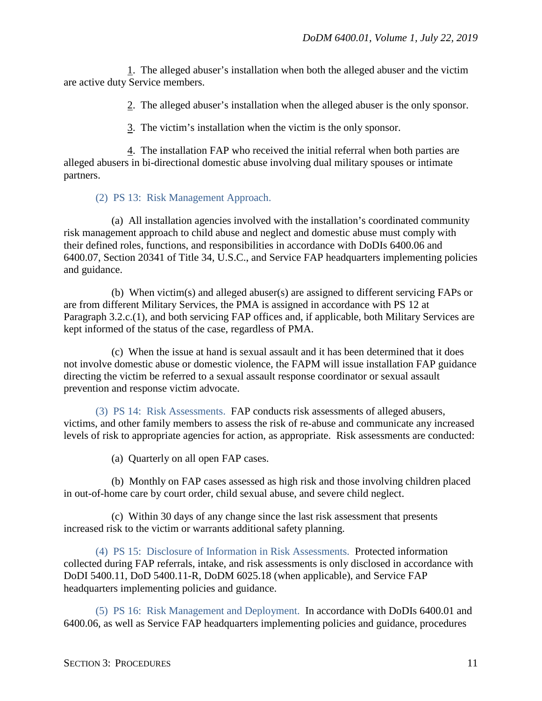1. The alleged abuser's installation when both the alleged abuser and the victim are active duty Service members.

2. The alleged abuser's installation when the alleged abuser is the only sponsor.

3. The victim's installation when the victim is the only sponsor.

4. The installation FAP who received the initial referral when both parties are alleged abusers in bi-directional domestic abuse involving dual military spouses or intimate partners.

(2) PS 13: Risk Management Approach.

(a) All installation agencies involved with the installation's coordinated community risk management approach to child abuse and neglect and domestic abuse must comply with their defined roles, functions, and responsibilities in accordance with DoDIs 6400.06 and 6400.07, Section 20341 of Title 34, U.S.C., and Service FAP headquarters implementing policies and guidance.

(b) When victim(s) and alleged abuser(s) are assigned to different servicing FAPs or are from different Military Services, the PMA is assigned in accordance with PS 12 at Paragraph 3.2.c.(1), and both servicing FAP offices and, if applicable, both Military Services are kept informed of the status of the case, regardless of PMA.

(c) When the issue at hand is sexual assault and it has been determined that it does not involve domestic abuse or domestic violence, the FAPM will issue installation FAP guidance directing the victim be referred to a sexual assault response coordinator or sexual assault prevention and response victim advocate.

(3) PS 14: Risk Assessments. FAP conducts risk assessments of alleged abusers, victims, and other family members to assess the risk of re-abuse and communicate any increased levels of risk to appropriate agencies for action, as appropriate. Risk assessments are conducted:

(a) Quarterly on all open FAP cases.

(b) Monthly on FAP cases assessed as high risk and those involving children placed in out-of-home care by court order, child sexual abuse, and severe child neglect.

(c) Within 30 days of any change since the last risk assessment that presents increased risk to the victim or warrants additional safety planning.

(4) PS 15: Disclosure of Information in Risk Assessments. Protected information collected during FAP referrals, intake, and risk assessments is only disclosed in accordance with DoDI 5400.11, DoD 5400.11-R, DoDM 6025.18 (when applicable), and Service FAP headquarters implementing policies and guidance.

(5) PS 16: Risk Management and Deployment. In accordance with DoDIs 6400.01 and 6400.06, as well as Service FAP headquarters implementing policies and guidance, procedures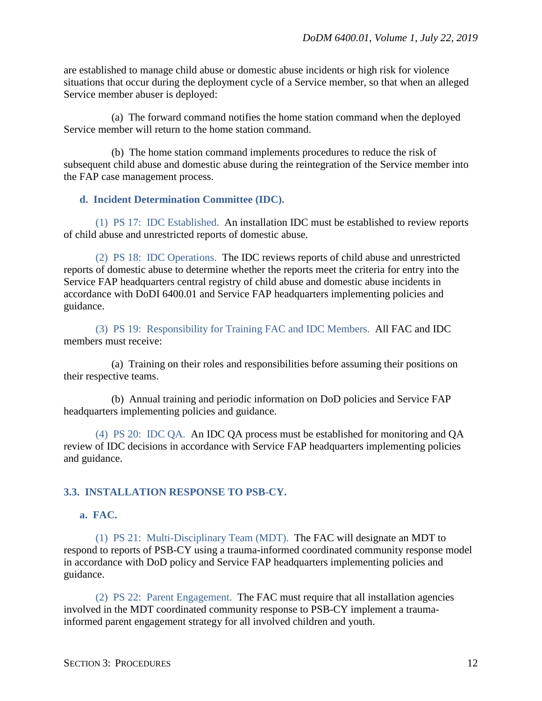are established to manage child abuse or domestic abuse incidents or high risk for violence situations that occur during the deployment cycle of a Service member, so that when an alleged Service member abuser is deployed:

(a) The forward command notifies the home station command when the deployed Service member will return to the home station command.

(b) The home station command implements procedures to reduce the risk of subsequent child abuse and domestic abuse during the reintegration of the Service member into the FAP case management process.

#### <span id="page-11-0"></span>**d. Incident Determination Committee (IDC).**

(1) PS 17: IDC Established. An installation IDC must be established to review reports of child abuse and unrestricted reports of domestic abuse.

(2) PS 18: IDC Operations. The IDC reviews reports of child abuse and unrestricted reports of domestic abuse to determine whether the reports meet the criteria for entry into the Service FAP headquarters central registry of child abuse and domestic abuse incidents in accordance with DoDI 6400.01 and Service FAP headquarters implementing policies and guidance.

(3) PS 19: Responsibility for Training FAC and IDC Members. All FAC and IDC members must receive:

(a) Training on their roles and responsibilities before assuming their positions on their respective teams.

(b) Annual training and periodic information on DoD policies and Service FAP headquarters implementing policies and guidance.

(4) PS 20: IDC QA. An IDC QA process must be established for monitoring and QA review of IDC decisions in accordance with Service FAP headquarters implementing policies and guidance.

#### <span id="page-11-1"></span>**3.3. INSTALLATION RESPONSE TO PSB-CY.**

### <span id="page-11-2"></span>**a. FAC.**

(1) PS 21: Multi-Disciplinary Team (MDT). The FAC will designate an MDT to respond to reports of PSB-CY using a trauma-informed coordinated community response model in accordance with DoD policy and Service FAP headquarters implementing policies and guidance.

(2) PS 22: Parent Engagement. The FAC must require that all installation agencies involved in the MDT coordinated community response to PSB-CY implement a traumainformed parent engagement strategy for all involved children and youth.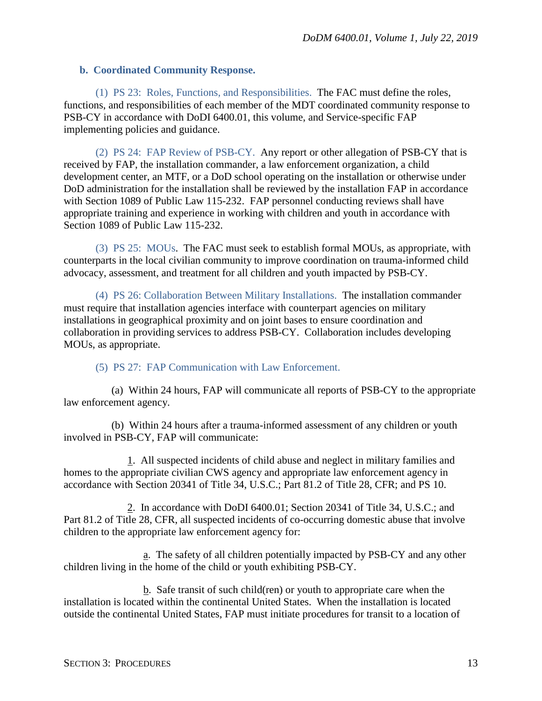#### <span id="page-12-0"></span>**b. Coordinated Community Response.**

(1) PS 23: Roles, Functions, and Responsibilities. The FAC must define the roles, functions, and responsibilities of each member of the MDT coordinated community response to PSB-CY in accordance with DoDI 6400.01, this volume, and Service-specific FAP implementing policies and guidance.

(2) PS 24: FAP Review of PSB-CY. Any report or other allegation of PSB-CY that is received by FAP, the installation commander, a law enforcement organization, a child development center, an MTF, or a DoD school operating on the installation or otherwise under DoD administration for the installation shall be reviewed by the installation FAP in accordance with Section 1089 of Public Law 115-232. FAP personnel conducting reviews shall have appropriate training and experience in working with children and youth in accordance with Section 1089 of Public Law 115-232.

(3) PS 25: MOUs. The FAC must seek to establish formal MOUs, as appropriate, with counterparts in the local civilian community to improve coordination on trauma-informed child advocacy, assessment, and treatment for all children and youth impacted by PSB-CY.

(4) PS 26: Collaboration Between Military Installations. The installation commander must require that installation agencies interface with counterpart agencies on military installations in geographical proximity and on joint bases to ensure coordination and collaboration in providing services to address PSB-CY. Collaboration includes developing MOUs, as appropriate.

## (5) PS 27: FAP Communication with Law Enforcement.

(a) Within 24 hours, FAP will communicate all reports of PSB-CY to the appropriate law enforcement agency.

(b) Within 24 hours after a trauma-informed assessment of any children or youth involved in PSB-CY, FAP will communicate:

1. All suspected incidents of child abuse and neglect in military families and homes to the appropriate civilian CWS agency and appropriate law enforcement agency in accordance with Section 20341 of Title 34, U.S.C.; Part 81.2 of Title 28, CFR; and PS 10.

2. In accordance with DoDI 6400.01; Section 20341 of Title 34, U.S.C.; and Part 81.2 of Title 28, CFR, all suspected incidents of co-occurring domestic abuse that involve children to the appropriate law enforcement agency for:

a. The safety of all children potentially impacted by PSB-CY and any other children living in the home of the child or youth exhibiting PSB-CY.

b. Safe transit of such child(ren) or youth to appropriate care when the installation is located within the continental United States. When the installation is located outside the continental United States, FAP must initiate procedures for transit to a location of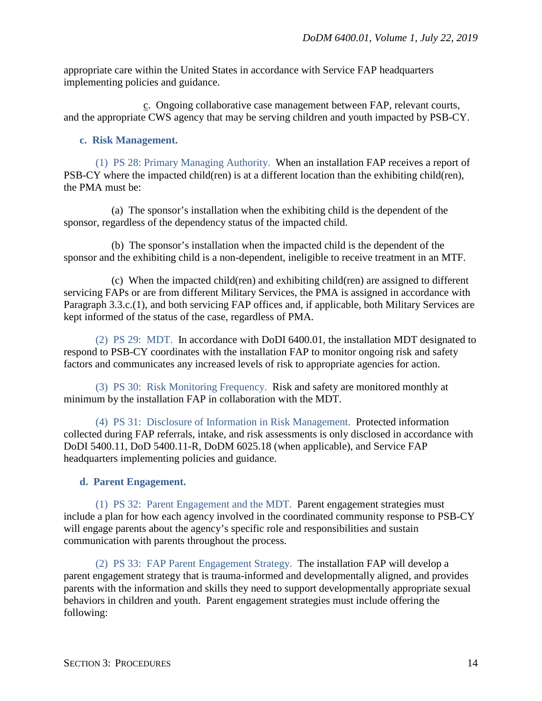appropriate care within the United States in accordance with Service FAP headquarters implementing policies and guidance.

c. Ongoing collaborative case management between FAP, relevant courts, and the appropriate CWS agency that may be serving children and youth impacted by PSB-CY.

### <span id="page-13-0"></span>**c. Risk Management.**

(1) PS 28: Primary Managing Authority. When an installation FAP receives a report of PSB-CY where the impacted child(ren) is at a different location than the exhibiting child(ren), the PMA must be:

(a) The sponsor's installation when the exhibiting child is the dependent of the sponsor, regardless of the dependency status of the impacted child.

(b) The sponsor's installation when the impacted child is the dependent of the sponsor and the exhibiting child is a non-dependent, ineligible to receive treatment in an MTF.

(c) When the impacted child(ren) and exhibiting child(ren) are assigned to different servicing FAPs or are from different Military Services, the PMA is assigned in accordance with Paragraph 3.3.c.(1), and both servicing FAP offices and, if applicable, both Military Services are kept informed of the status of the case, regardless of PMA.

(2) PS 29: MDT. In accordance with DoDI 6400.01, the installation MDT designated to respond to PSB-CY coordinates with the installation FAP to monitor ongoing risk and safety factors and communicates any increased levels of risk to appropriate agencies for action.

(3) PS 30: Risk Monitoring Frequency. Risk and safety are monitored monthly at minimum by the installation FAP in collaboration with the MDT.

(4) PS 31: Disclosure of Information in Risk Management. Protected information collected during FAP referrals, intake, and risk assessments is only disclosed in accordance with DoDI 5400.11, DoD 5400.11-R, DoDM 6025.18 (when applicable), and Service FAP headquarters implementing policies and guidance.

## <span id="page-13-1"></span>**d. Parent Engagement.**

(1) PS 32: Parent Engagement and the MDT. Parent engagement strategies must include a plan for how each agency involved in the coordinated community response to PSB-CY will engage parents about the agency's specific role and responsibilities and sustain communication with parents throughout the process.

(2) PS 33: FAP Parent Engagement Strategy. The installation FAP will develop a parent engagement strategy that is trauma-informed and developmentally aligned, and provides parents with the information and skills they need to support developmentally appropriate sexual behaviors in children and youth. Parent engagement strategies must include offering the following: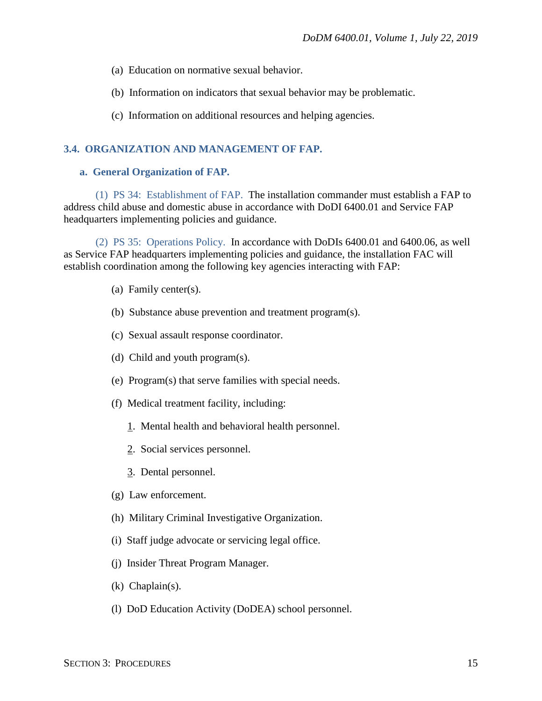- (a) Education on normative sexual behavior.
- (b) Information on indicators that sexual behavior may be problematic.
- (c) Information on additional resources and helping agencies.

#### <span id="page-14-0"></span>**3.4. ORGANIZATION AND MANAGEMENT OF FAP.**

#### <span id="page-14-1"></span>**a. General Organization of FAP.**

(1) PS 34: Establishment of FAP. The installation commander must establish a FAP to address child abuse and domestic abuse in accordance with DoDI 6400.01 and Service FAP headquarters implementing policies and guidance.

(2) PS 35: Operations Policy. In accordance with DoDIs 6400.01 and 6400.06, as well as Service FAP headquarters implementing policies and guidance, the installation FAC will establish coordination among the following key agencies interacting with FAP:

- (a) Family center(s).
- (b) Substance abuse prevention and treatment program(s).
- (c) Sexual assault response coordinator.
- (d) Child and youth program(s).
- (e) Program(s) that serve families with special needs.
- (f) Medical treatment facility, including:
	- 1. Mental health and behavioral health personnel.
	- 2. Social services personnel.
	- 3. Dental personnel.
- (g) Law enforcement.
- (h) Military Criminal Investigative Organization.
- (i) Staff judge advocate or servicing legal office.
- (j) Insider Threat Program Manager.
- (k) Chaplain(s).
- (l) DoD Education Activity (DoDEA) school personnel.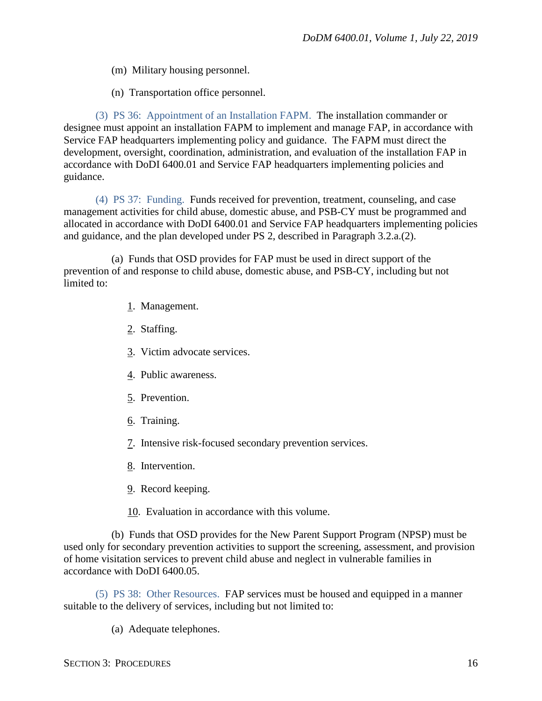- (m) Military housing personnel.
- (n) Transportation office personnel.

(3) PS 36: Appointment of an Installation FAPM. The installation commander or designee must appoint an installation FAPM to implement and manage FAP, in accordance with Service FAP headquarters implementing policy and guidance. The FAPM must direct the development, oversight, coordination, administration, and evaluation of the installation FAP in accordance with DoDI 6400.01 and Service FAP headquarters implementing policies and guidance.

(4) PS 37: Funding. Funds received for prevention, treatment, counseling, and case management activities for child abuse, domestic abuse, and PSB-CY must be programmed and allocated in accordance with DoDI 6400.01 and Service FAP headquarters implementing policies and guidance, and the plan developed under PS 2, described in Paragraph 3.2.a.(2).

(a) Funds that OSD provides for FAP must be used in direct support of the prevention of and response to child abuse, domestic abuse, and PSB-CY, including but not limited to:

- 1. Management.
- 2. Staffing.
- 3. Victim advocate services.
- 4. Public awareness.
- 5. Prevention.
- 6. Training.
- 7. Intensive risk-focused secondary prevention services.
- 8. Intervention.
- 9. Record keeping.

10. Evaluation in accordance with this volume.

(b) Funds that OSD provides for the New Parent Support Program (NPSP) must be used only for secondary prevention activities to support the screening, assessment, and provision of home visitation services to prevent child abuse and neglect in vulnerable families in accordance with DoDI 6400.05.

(5) PS 38: Other Resources. FAP services must be housed and equipped in a manner suitable to the delivery of services, including but not limited to:

(a) Adequate telephones.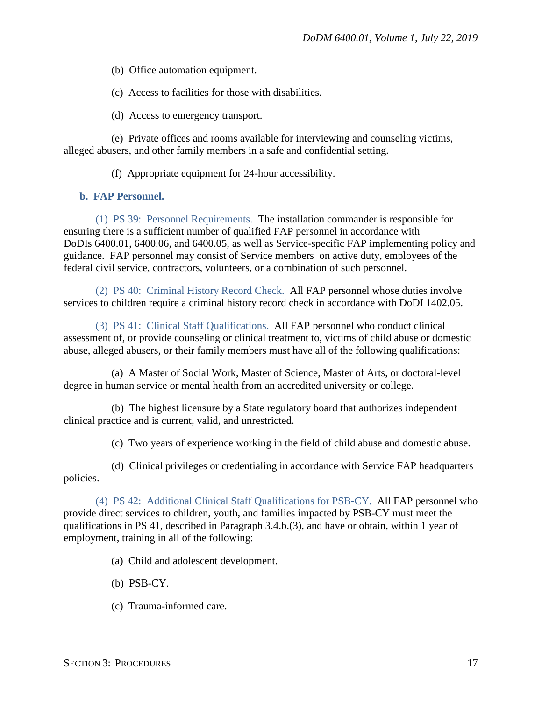(b) Office automation equipment.

(c) Access to facilities for those with disabilities.

(d) Access to emergency transport.

(e) Private offices and rooms available for interviewing and counseling victims, alleged abusers, and other family members in a safe and confidential setting.

(f) Appropriate equipment for 24-hour accessibility.

#### <span id="page-16-0"></span>**b. FAP Personnel.**

(1) PS 39: Personnel Requirements. The installation commander is responsible for ensuring there is a sufficient number of qualified FAP personnel in accordance with DoDIs 6400.01, 6400.06, and 6400.05, as well as Service-specific FAP implementing policy and guidance. FAP personnel may consist of Service members on active duty, employees of the federal civil service, contractors, volunteers, or a combination of such personnel.

(2) PS 40: Criminal History Record Check. All FAP personnel whose duties involve services to children require a criminal history record check in accordance with DoDI 1402.05.

(3) PS 41: Clinical Staff Qualifications. All FAP personnel who conduct clinical assessment of, or provide counseling or clinical treatment to, victims of child abuse or domestic abuse, alleged abusers, or their family members must have all of the following qualifications:

(a) A Master of Social Work, Master of Science, Master of Arts, or doctoral-level degree in human service or mental health from an accredited university or college.

(b) The highest licensure by a State regulatory board that authorizes independent clinical practice and is current, valid, and unrestricted.

(c) Two years of experience working in the field of child abuse and domestic abuse.

(d) Clinical privileges or credentialing in accordance with Service FAP headquarters policies.

(4) PS 42: Additional Clinical Staff Qualifications for PSB-CY. All FAP personnel who provide direct services to children, youth, and families impacted by PSB-CY must meet the qualifications in PS 41, described in Paragraph 3.4.b.(3), and have or obtain, within 1 year of employment, training in all of the following:

(a) Child and adolescent development.

- (b) PSB-CY.
- (c) Trauma-informed care.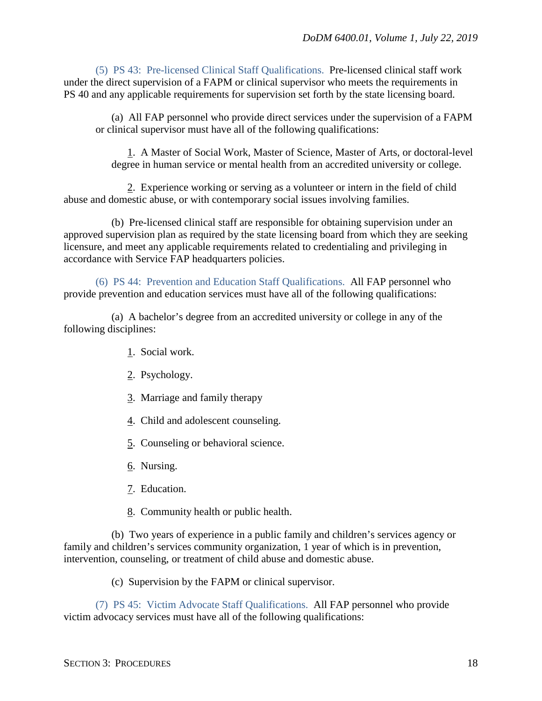(5) PS 43: Pre-licensed Clinical Staff Qualifications. Pre-licensed clinical staff work under the direct supervision of a FAPM or clinical supervisor who meets the requirements in PS 40 and any applicable requirements for supervision set forth by the state licensing board.

(a) All FAP personnel who provide direct services under the supervision of a FAPM or clinical supervisor must have all of the following qualifications:

1. A Master of Social Work, Master of Science, Master of Arts, or doctoral-level degree in human service or mental health from an accredited university or college.

2. Experience working or serving as a volunteer or intern in the field of child abuse and domestic abuse, or with contemporary social issues involving families.

(b) Pre-licensed clinical staff are responsible for obtaining supervision under an approved supervision plan as required by the state licensing board from which they are seeking licensure, and meet any applicable requirements related to credentialing and privileging in accordance with Service FAP headquarters policies.

(6) PS 44: Prevention and Education Staff Qualifications. All FAP personnel who provide prevention and education services must have all of the following qualifications:

(a) A bachelor's degree from an accredited university or college in any of the following disciplines:

- 1. Social work.
- 2. Psychology.
- 3. Marriage and family therapy
- 4. Child and adolescent counseling.
- 5. Counseling or behavioral science.
- 6. Nursing.
- 7. Education.
- 8. Community health or public health.

(b) Two years of experience in a public family and children's services agency or family and children's services community organization, 1 year of which is in prevention, intervention, counseling, or treatment of child abuse and domestic abuse.

(c) Supervision by the FAPM or clinical supervisor.

(7) PS 45: Victim Advocate Staff Qualifications. All FAP personnel who provide victim advocacy services must have all of the following qualifications: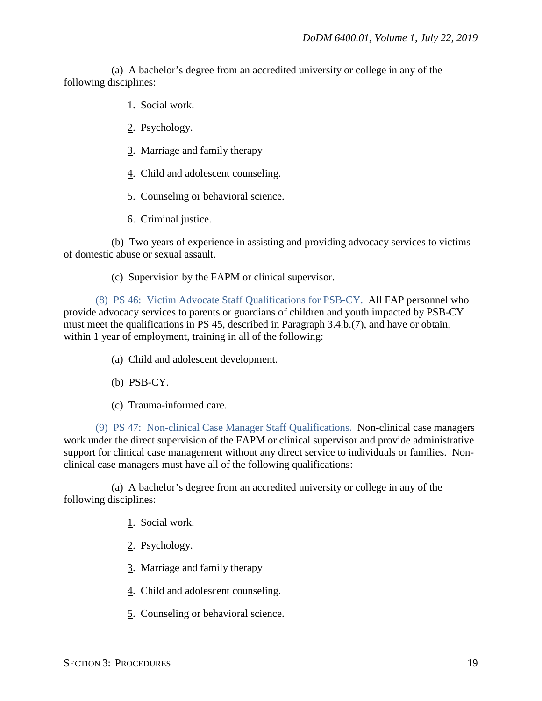(a) A bachelor's degree from an accredited university or college in any of the following disciplines:

- 1. Social work.
- 2. Psychology.
- 3. Marriage and family therapy
- 4. Child and adolescent counseling.
- 5. Counseling or behavioral science.
- 6. Criminal justice.

(b) Two years of experience in assisting and providing advocacy services to victims of domestic abuse or sexual assault.

(c) Supervision by the FAPM or clinical supervisor.

(8) PS 46: Victim Advocate Staff Qualifications for PSB-CY. All FAP personnel who provide advocacy services to parents or guardians of children and youth impacted by PSB-CY must meet the qualifications in PS 45, described in Paragraph 3.4.b.(7), and have or obtain, within 1 year of employment, training in all of the following:

- (a) Child and adolescent development.
- (b) PSB-CY.
- (c) Trauma-informed care.

(9) PS 47: Non-clinical Case Manager Staff Qualifications. Non-clinical case managers work under the direct supervision of the FAPM or clinical supervisor and provide administrative support for clinical case management without any direct service to individuals or families. Nonclinical case managers must have all of the following qualifications:

(a) A bachelor's degree from an accredited university or college in any of the following disciplines:

- 1. Social work.
- 2. Psychology.
- 3. Marriage and family therapy
- 4. Child and adolescent counseling.
- 5. Counseling or behavioral science.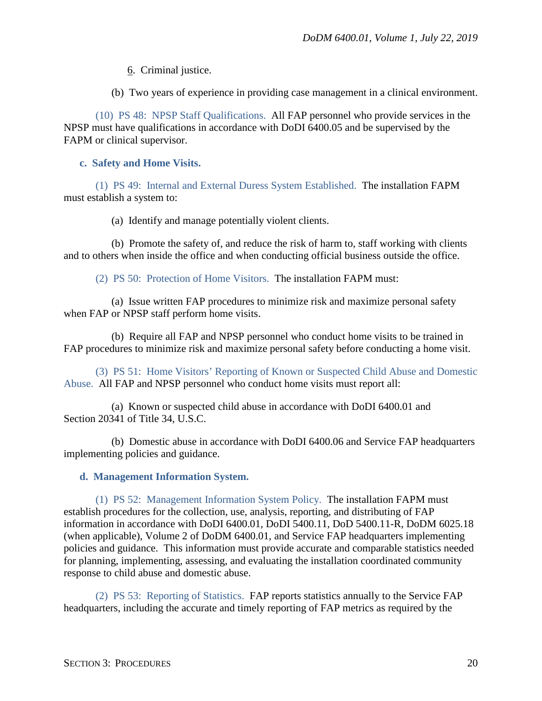6. Criminal justice.

(b) Two years of experience in providing case management in a clinical environment.

(10) PS 48: NPSP Staff Qualifications. All FAP personnel who provide services in the NPSP must have qualifications in accordance with DoDI 6400.05 and be supervised by the FAPM or clinical supervisor.

#### <span id="page-19-0"></span>**c. Safety and Home Visits.**

(1) PS 49: Internal and External Duress System Established. The installation FAPM must establish a system to:

(a) Identify and manage potentially violent clients.

(b) Promote the safety of, and reduce the risk of harm to, staff working with clients and to others when inside the office and when conducting official business outside the office.

(2) PS 50: Protection of Home Visitors. The installation FAPM must:

(a) Issue written FAP procedures to minimize risk and maximize personal safety when FAP or NPSP staff perform home visits.

(b) Require all FAP and NPSP personnel who conduct home visits to be trained in FAP procedures to minimize risk and maximize personal safety before conducting a home visit.

(3) PS 51: Home Visitors' Reporting of Known or Suspected Child Abuse and Domestic Abuse. All FAP and NPSP personnel who conduct home visits must report all:

(a) Known or suspected child abuse in accordance with DoDI 6400.01 and Section 20341 of Title 34, U.S.C.

(b) Domestic abuse in accordance with DoDI 6400.06 and Service FAP headquarters implementing policies and guidance.

## <span id="page-19-1"></span>**d. Management Information System.**

(1) PS 52: Management Information System Policy. The installation FAPM must establish procedures for the collection, use, analysis, reporting, and distributing of FAP information in accordance with DoDI 6400.01, DoDI 5400.11, DoD 5400.11-R, DoDM 6025.18 (when applicable), Volume 2 of DoDM 6400.01, and Service FAP headquarters implementing policies and guidance. This information must provide accurate and comparable statistics needed for planning, implementing, assessing, and evaluating the installation coordinated community response to child abuse and domestic abuse.

(2) PS 53: Reporting of Statistics. FAP reports statistics annually to the Service FAP headquarters, including the accurate and timely reporting of FAP metrics as required by the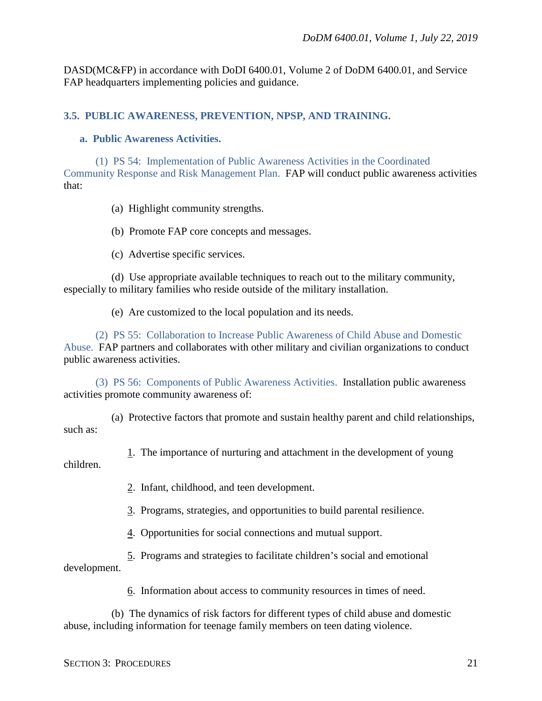DASD(MC&FP) in accordance with DoDI 6400.01, Volume 2 of DoDM 6400.01, and Service FAP headquarters implementing policies and guidance.

#### <span id="page-20-0"></span>**3.5. PUBLIC AWARENESS, PREVENTION, NPSP, AND TRAINING.**

#### <span id="page-20-1"></span>**a. Public Awareness Activities.**

(1) PS 54: Implementation of Public Awareness Activities in the Coordinated Community Response and Risk Management Plan. FAP will conduct public awareness activities that:

- (a) Highlight community strengths.
- (b) Promote FAP core concepts and messages.
- (c) Advertise specific services.

(d) Use appropriate available techniques to reach out to the military community, especially to military families who reside outside of the military installation.

(e) Are customized to the local population and its needs.

(2) PS 55: Collaboration to Increase Public Awareness of Child Abuse and Domestic Abuse. FAP partners and collaborates with other military and civilian organizations to conduct public awareness activities.

(3) PS 56: Components of Public Awareness Activities. Installation public awareness activities promote community awareness of:

(a) Protective factors that promote and sustain healthy parent and child relationships, such as:

1. The importance of nurturing and attachment in the development of young children.

2. Infant, childhood, and teen development.

3. Programs, strategies, and opportunities to build parental resilience.

4. Opportunities for social connections and mutual support.

5. Programs and strategies to facilitate children's social and emotional development.

6. Information about access to community resources in times of need.

(b) The dynamics of risk factors for different types of child abuse and domestic abuse, including information for teenage family members on teen dating violence.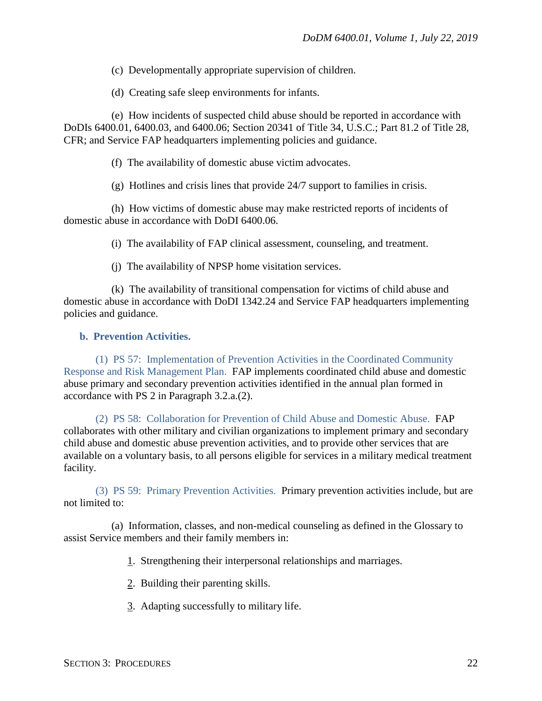(c) Developmentally appropriate supervision of children.

(d) Creating safe sleep environments for infants.

(e) How incidents of suspected child abuse should be reported in accordance with DoDIs 6400.01, 6400.03, and 6400.06; Section 20341 of Title 34, U.S.C.; Part 81.2 of Title 28, CFR; and Service FAP headquarters implementing policies and guidance.

(f) The availability of domestic abuse victim advocates.

(g) Hotlines and crisis lines that provide 24/7 support to families in crisis.

(h) How victims of domestic abuse may make restricted reports of incidents of domestic abuse in accordance with DoDI 6400.06.

(i) The availability of FAP clinical assessment, counseling, and treatment.

(j) The availability of NPSP home visitation services.

(k) The availability of transitional compensation for victims of child abuse and domestic abuse in accordance with DoDI 1342.24 and Service FAP headquarters implementing policies and guidance.

#### <span id="page-21-0"></span>**b. Prevention Activities.**

(1) PS 57: Implementation of Prevention Activities in the Coordinated Community Response and Risk Management Plan. FAP implements coordinated child abuse and domestic abuse primary and secondary prevention activities identified in the annual plan formed in accordance with PS 2 in Paragraph 3.2.a.(2).

(2) PS 58: Collaboration for Prevention of Child Abuse and Domestic Abuse. FAP collaborates with other military and civilian organizations to implement primary and secondary child abuse and domestic abuse prevention activities, and to provide other services that are available on a voluntary basis, to all persons eligible for services in a military medical treatment facility.

(3) PS 59: Primary Prevention Activities. Primary prevention activities include, but are not limited to:

(a) Information, classes, and non-medical counseling as defined in the Glossary to assist Service members and their family members in:

1. Strengthening their interpersonal relationships and marriages.

2. Building their parenting skills.

3. Adapting successfully to military life.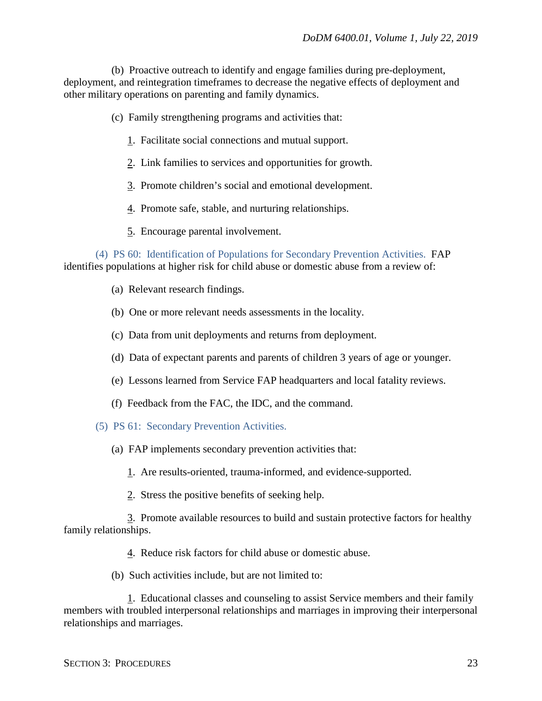(b) Proactive outreach to identify and engage families during pre-deployment, deployment, and reintegration timeframes to decrease the negative effects of deployment and other military operations on parenting and family dynamics.

(c) Family strengthening programs and activities that:

- 1. Facilitate social connections and mutual support.
- 2. Link families to services and opportunities for growth.
- 3. Promote children's social and emotional development.
- 4. Promote safe, stable, and nurturing relationships.
- 5. Encourage parental involvement.

(4) PS 60: Identification of Populations for Secondary Prevention Activities. FAP identifies populations at higher risk for child abuse or domestic abuse from a review of:

- (a) Relevant research findings.
- (b) One or more relevant needs assessments in the locality.
- (c) Data from unit deployments and returns from deployment.
- (d) Data of expectant parents and parents of children 3 years of age or younger.
- (e) Lessons learned from Service FAP headquarters and local fatality reviews.
- (f) Feedback from the FAC, the IDC, and the command.
- (5) PS 61: Secondary Prevention Activities.
	- (a) FAP implements secondary prevention activities that:
		- 1. Are results-oriented, trauma-informed, and evidence-supported.
		- 2. Stress the positive benefits of seeking help.

3. Promote available resources to build and sustain protective factors for healthy family relationships.

- 4. Reduce risk factors for child abuse or domestic abuse.
- (b) Such activities include, but are not limited to:

1. Educational classes and counseling to assist Service members and their family members with troubled interpersonal relationships and marriages in improving their interpersonal relationships and marriages.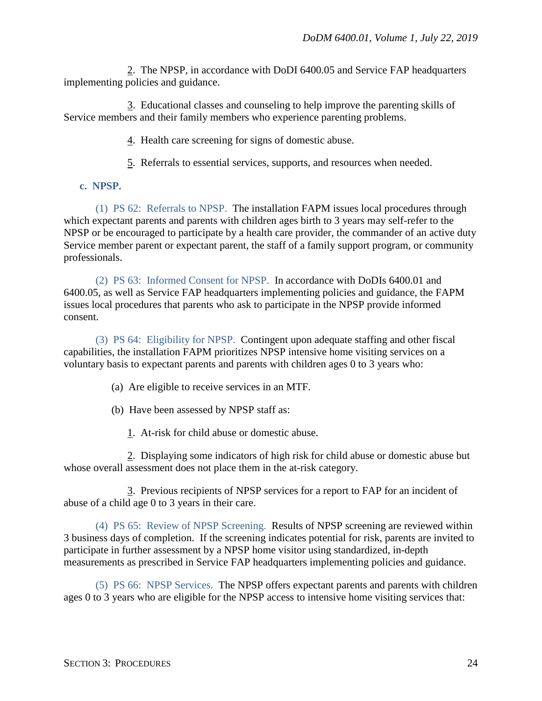2. The NPSP, in accordance with DoDI 6400.05 and Service FAP headquarters implementing policies and guidance.

3. Educational classes and counseling to help improve the parenting skills of Service members and their family members who experience parenting problems.

4. Health care screening for signs of domestic abuse.

5. Referrals to essential services, supports, and resources when needed.

#### <span id="page-23-0"></span>**c. NPSP.**

(1) PS 62: Referrals to NPSP. The installation FAPM issues local procedures through which expectant parents and parents with children ages birth to 3 years may self-refer to the NPSP or be encouraged to participate by a health care provider, the commander of an active duty Service member parent or expectant parent, the staff of a family support program, or community professionals.

(2) PS 63: Informed Consent for NPSP. In accordance with DoDIs 6400.01 and 6400.05, as well as Service FAP headquarters implementing policies and guidance, the FAPM issues local procedures that parents who ask to participate in the NPSP provide informed consent.

(3) PS 64: Eligibility for NPSP. Contingent upon adequate staffing and other fiscal capabilities, the installation FAPM prioritizes NPSP intensive home visiting services on a voluntary basis to expectant parents and parents with children ages 0 to 3 years who:

(a) Are eligible to receive services in an MTF.

(b) Have been assessed by NPSP staff as:

1. At-risk for child abuse or domestic abuse.

2. Displaying some indicators of high risk for child abuse or domestic abuse but whose overall assessment does not place them in the at-risk category.

3. Previous recipients of NPSP services for a report to FAP for an incident of abuse of a child age 0 to 3 years in their care.

(4) PS 65: Review of NPSP Screening. Results of NPSP screening are reviewed within 3 business days of completion. If the screening indicates potential for risk, parents are invited to participate in further assessment by a NPSP home visitor using standardized, in-depth measurements as prescribed in Service FAP headquarters implementing policies and guidance.

(5) PS 66: NPSP Services. The NPSP offers expectant parents and parents with children ages 0 to 3 years who are eligible for the NPSP access to intensive home visiting services that: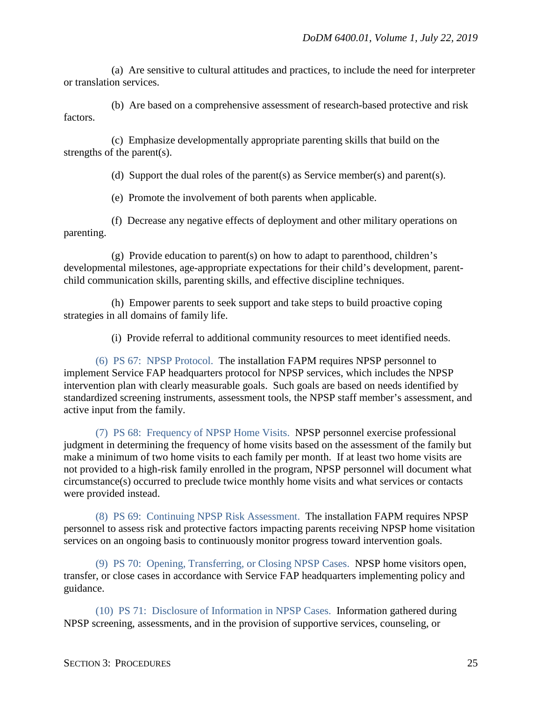(a) Are sensitive to cultural attitudes and practices, to include the need for interpreter or translation services.

(b) Are based on a comprehensive assessment of research-based protective and risk factors.

(c) Emphasize developmentally appropriate parenting skills that build on the strengths of the parent(s).

(d) Support the dual roles of the parent(s) as Service member(s) and parent(s).

(e) Promote the involvement of both parents when applicable.

(f) Decrease any negative effects of deployment and other military operations on parenting.

(g) Provide education to parent(s) on how to adapt to parenthood, children's developmental milestones, age-appropriate expectations for their child's development, parentchild communication skills, parenting skills, and effective discipline techniques.

(h) Empower parents to seek support and take steps to build proactive coping strategies in all domains of family life.

(i) Provide referral to additional community resources to meet identified needs.

(6) PS 67: NPSP Protocol. The installation FAPM requires NPSP personnel to implement Service FAP headquarters protocol for NPSP services, which includes the NPSP intervention plan with clearly measurable goals. Such goals are based on needs identified by standardized screening instruments, assessment tools, the NPSP staff member's assessment, and active input from the family.

(7) PS 68: Frequency of NPSP Home Visits. NPSP personnel exercise professional judgment in determining the frequency of home visits based on the assessment of the family but make a minimum of two home visits to each family per month. If at least two home visits are not provided to a high-risk family enrolled in the program, NPSP personnel will document what circumstance(s) occurred to preclude twice monthly home visits and what services or contacts were provided instead.

(8) PS 69: Continuing NPSP Risk Assessment. The installation FAPM requires NPSP personnel to assess risk and protective factors impacting parents receiving NPSP home visitation services on an ongoing basis to continuously monitor progress toward intervention goals.

(9) PS 70: Opening, Transferring, or Closing NPSP Cases. NPSP home visitors open, transfer, or close cases in accordance with Service FAP headquarters implementing policy and guidance.

(10) PS 71: Disclosure of Information in NPSP Cases. Information gathered during NPSP screening, assessments, and in the provision of supportive services, counseling, or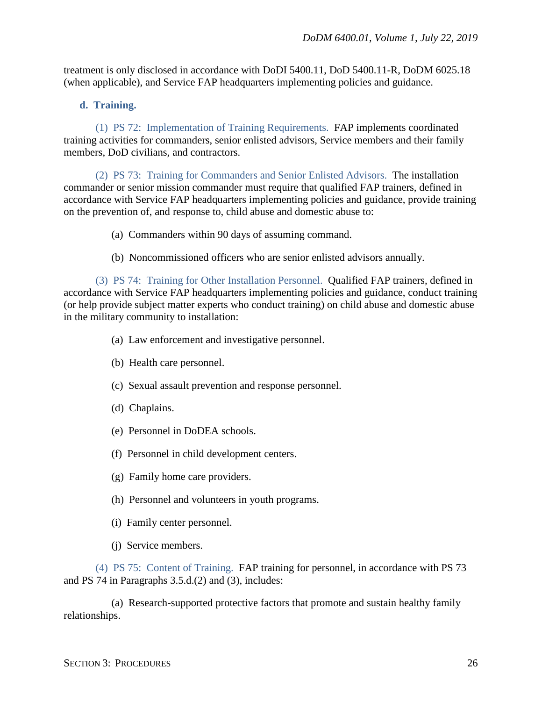treatment is only disclosed in accordance with DoDI 5400.11, DoD 5400.11-R, DoDM 6025.18 (when applicable), and Service FAP headquarters implementing policies and guidance.

#### <span id="page-25-0"></span>**d. Training.**

(1) PS 72: Implementation of Training Requirements. FAP implements coordinated training activities for commanders, senior enlisted advisors, Service members and their family members, DoD civilians, and contractors.

(2) PS 73: Training for Commanders and Senior Enlisted Advisors. The installation commander or senior mission commander must require that qualified FAP trainers, defined in accordance with Service FAP headquarters implementing policies and guidance, provide training on the prevention of, and response to, child abuse and domestic abuse to:

- (a) Commanders within 90 days of assuming command.
- (b) Noncommissioned officers who are senior enlisted advisors annually.

(3) PS 74: Training for Other Installation Personnel. Qualified FAP trainers, defined in accordance with Service FAP headquarters implementing policies and guidance, conduct training (or help provide subject matter experts who conduct training) on child abuse and domestic abuse in the military community to installation:

- (a) Law enforcement and investigative personnel.
- (b) Health care personnel.
- (c) Sexual assault prevention and response personnel.
- (d) Chaplains.
- (e) Personnel in DoDEA schools.
- (f) Personnel in child development centers.
- (g) Family home care providers.
- (h) Personnel and volunteers in youth programs.
- (i) Family center personnel.
- (j) Service members.

(4) PS 75: Content of Training. FAP training for personnel, in accordance with PS 73 and PS 74 in Paragraphs 3.5.d.(2) and (3), includes:

(a) Research-supported protective factors that promote and sustain healthy family relationships.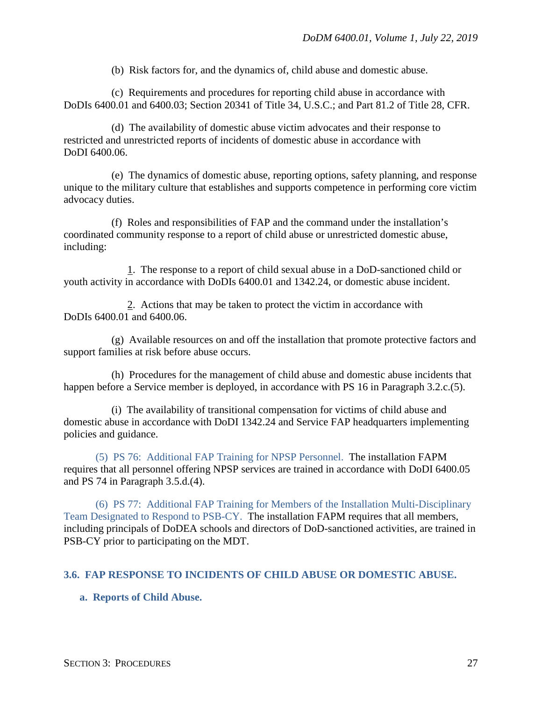(b) Risk factors for, and the dynamics of, child abuse and domestic abuse.

(c) Requirements and procedures for reporting child abuse in accordance with DoDIs 6400.01 and 6400.03; Section 20341 of Title 34, U.S.C.; and Part 81.2 of Title 28, CFR.

(d) The availability of domestic abuse victim advocates and their response to restricted and unrestricted reports of incidents of domestic abuse in accordance with DoDI 6400.06.

(e) The dynamics of domestic abuse, reporting options, safety planning, and response unique to the military culture that establishes and supports competence in performing core victim advocacy duties.

(f) Roles and responsibilities of FAP and the command under the installation's coordinated community response to a report of child abuse or unrestricted domestic abuse, including:

1. The response to a report of child sexual abuse in a DoD-sanctioned child or youth activity in accordance with DoDIs 6400.01 and 1342.24, or domestic abuse incident.

2. Actions that may be taken to protect the victim in accordance with DoDIs 6400.01 and 6400.06.

(g) Available resources on and off the installation that promote protective factors and support families at risk before abuse occurs.

(h) Procedures for the management of child abuse and domestic abuse incidents that happen before a Service member is deployed, in accordance with PS 16 in Paragraph 3.2.c.(5).

(i) The availability of transitional compensation for victims of child abuse and domestic abuse in accordance with DoDI 1342.24 and Service FAP headquarters implementing policies and guidance.

(5) PS 76: Additional FAP Training for NPSP Personnel. The installation FAPM requires that all personnel offering NPSP services are trained in accordance with DoDI 6400.05 and PS 74 in Paragraph 3.5.d.(4).

(6) PS 77: Additional FAP Training for Members of the Installation Multi-Disciplinary Team Designated to Respond to PSB-CY. The installation FAPM requires that all members, including principals of DoDEA schools and directors of DoD-sanctioned activities, are trained in PSB-CY prior to participating on the MDT.

#### <span id="page-26-0"></span>**3.6. FAP RESPONSE TO INCIDENTS OF CHILD ABUSE OR DOMESTIC ABUSE.**

#### <span id="page-26-1"></span>**a. Reports of Child Abuse.**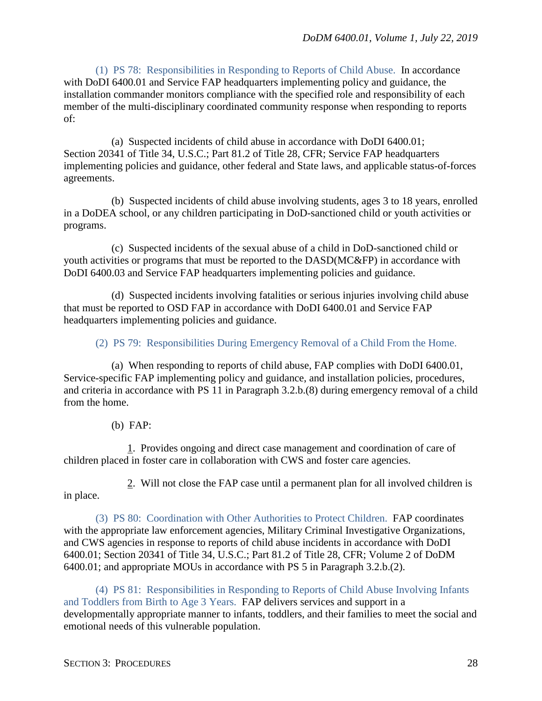(1) PS 78: Responsibilities in Responding to Reports of Child Abuse. In accordance with DoDI 6400.01 and Service FAP headquarters implementing policy and guidance, the installation commander monitors compliance with the specified role and responsibility of each member of the multi-disciplinary coordinated community response when responding to reports of:

(a) Suspected incidents of child abuse in accordance with DoDI 6400.01; Section 20341 of Title 34, U.S.C.; Part 81.2 of Title 28, CFR; Service FAP headquarters implementing policies and guidance, other federal and State laws, and applicable status-of-forces agreements.

(b) Suspected incidents of child abuse involving students, ages 3 to 18 years, enrolled in a DoDEA school, or any children participating in DoD-sanctioned child or youth activities or programs.

(c) Suspected incidents of the sexual abuse of a child in DoD-sanctioned child or youth activities or programs that must be reported to the DASD(MC&FP) in accordance with DoDI 6400.03 and Service FAP headquarters implementing policies and guidance.

(d) Suspected incidents involving fatalities or serious injuries involving child abuse that must be reported to OSD FAP in accordance with DoDI 6400.01 and Service FAP headquarters implementing policies and guidance.

(2) PS 79: Responsibilities During Emergency Removal of a Child From the Home.

(a) When responding to reports of child abuse, FAP complies with DoDI 6400.01, Service-specific FAP implementing policy and guidance, and installation policies, procedures, and criteria in accordance with PS 11 in Paragraph 3.2.b.(8) during emergency removal of a child from the home.

(b) FAP:

1. Provides ongoing and direct case management and coordination of care of children placed in foster care in collaboration with CWS and foster care agencies.

in place.

2. Will not close the FAP case until a permanent plan for all involved children is

(3) PS 80: Coordination with Other Authorities to Protect Children. FAP coordinates with the appropriate law enforcement agencies, Military Criminal Investigative Organizations, and CWS agencies in response to reports of child abuse incidents in accordance with DoDI 6400.01; Section 20341 of Title 34, U.S.C.; Part 81.2 of Title 28, CFR; Volume 2 of DoDM 6400.01; and appropriate MOUs in accordance with PS 5 in Paragraph 3.2.b.(2).

(4) PS 81: Responsibilities in Responding to Reports of Child Abuse Involving Infants and Toddlers from Birth to Age 3 Years. FAP delivers services and support in a developmentally appropriate manner to infants, toddlers, and their families to meet the social and emotional needs of this vulnerable population.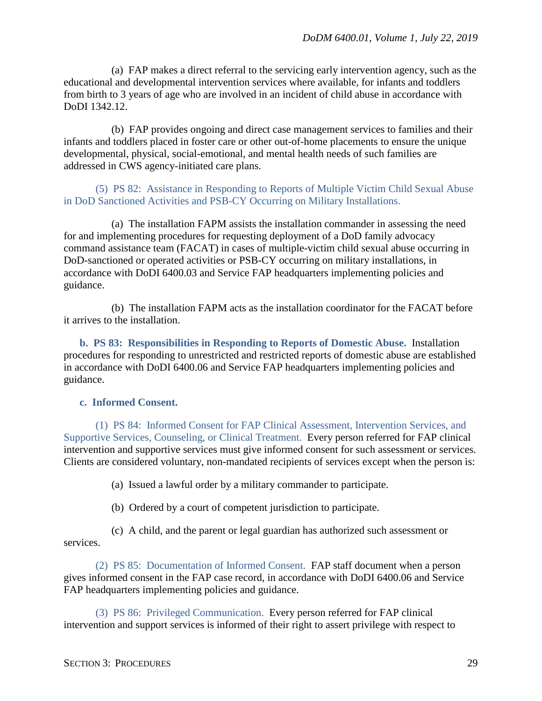(a) FAP makes a direct referral to the servicing early intervention agency, such as the educational and developmental intervention services where available, for infants and toddlers from birth to 3 years of age who are involved in an incident of child abuse in accordance with DoDI 1342.12.

(b) FAP provides ongoing and direct case management services to families and their infants and toddlers placed in foster care or other out-of-home placements to ensure the unique developmental, physical, social-emotional, and mental health needs of such families are addressed in CWS agency-initiated care plans.

(5) PS 82: Assistance in Responding to Reports of Multiple Victim Child Sexual Abuse in DoD Sanctioned Activities and PSB-CY Occurring on Military Installations.

(a) The installation FAPM assists the installation commander in assessing the need for and implementing procedures for requesting deployment of a DoD family advocacy command assistance team (FACAT) in cases of multiple-victim child sexual abuse occurring in DoD-sanctioned or operated activities or PSB-CY occurring on military installations, in accordance with DoDI 6400.03 and Service FAP headquarters implementing policies and guidance.

(b) The installation FAPM acts as the installation coordinator for the FACAT before it arrives to the installation.

<span id="page-28-0"></span>**b. PS 83: Responsibilities in Responding to Reports of Domestic Abuse.** Installation procedures for responding to unrestricted and restricted reports of domestic abuse are established in accordance with DoDI 6400.06 and Service FAP headquarters implementing policies and guidance.

#### <span id="page-28-1"></span>**c. Informed Consent.**

(1) PS 84: Informed Consent for FAP Clinical Assessment, Intervention Services, and Supportive Services, Counseling, or Clinical Treatment. Every person referred for FAP clinical intervention and supportive services must give informed consent for such assessment or services. Clients are considered voluntary, non-mandated recipients of services except when the person is:

(a) Issued a lawful order by a military commander to participate.

(b) Ordered by a court of competent jurisdiction to participate.

(c) A child, and the parent or legal guardian has authorized such assessment or services.

(2) PS 85: Documentation of Informed Consent. FAP staff document when a person gives informed consent in the FAP case record, in accordance with DoDI 6400.06 and Service FAP headquarters implementing policies and guidance.

(3) PS 86: Privileged Communication. Every person referred for FAP clinical intervention and support services is informed of their right to assert privilege with respect to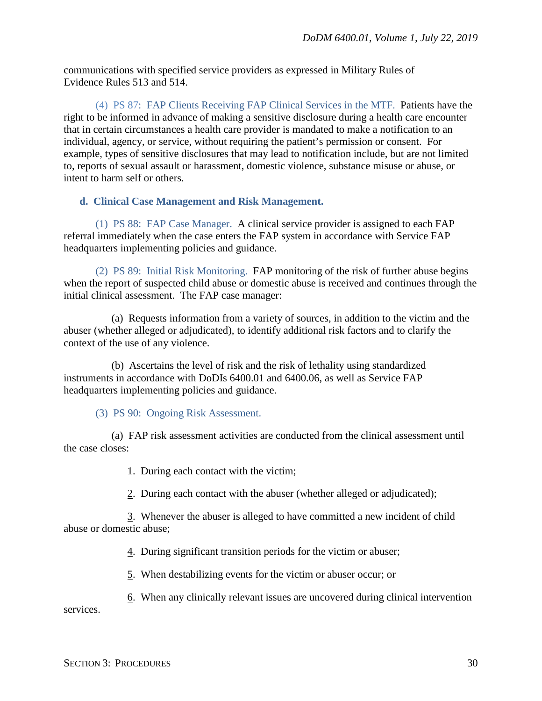communications with specified service providers as expressed in Military Rules of Evidence Rules 513 and 514.

(4) PS 87: FAP Clients Receiving FAP Clinical Services in the MTF. Patients have the right to be informed in advance of making a sensitive disclosure during a health care encounter that in certain circumstances a health care provider is mandated to make a notification to an individual, agency, or service, without requiring the patient's permission or consent. For example, types of sensitive disclosures that may lead to notification include, but are not limited to, reports of sexual assault or harassment, domestic violence, substance misuse or abuse, or intent to harm self or others.

#### <span id="page-29-0"></span>**d. Clinical Case Management and Risk Management.**

(1) PS 88: FAP Case Manager. A clinical service provider is assigned to each FAP referral immediately when the case enters the FAP system in accordance with Service FAP headquarters implementing policies and guidance.

(2) PS 89: Initial Risk Monitoring. FAP monitoring of the risk of further abuse begins when the report of suspected child abuse or domestic abuse is received and continues through the initial clinical assessment. The FAP case manager:

(a) Requests information from a variety of sources, in addition to the victim and the abuser (whether alleged or adjudicated), to identify additional risk factors and to clarify the context of the use of any violence.

(b) Ascertains the level of risk and the risk of lethality using standardized instruments in accordance with DoDIs 6400.01 and 6400.06, as well as Service FAP headquarters implementing policies and guidance.

(3) PS 90: Ongoing Risk Assessment.

(a) FAP risk assessment activities are conducted from the clinical assessment until the case closes:

1. During each contact with the victim;

2. During each contact with the abuser (whether alleged or adjudicated);

3. Whenever the abuser is alleged to have committed a new incident of child abuse or domestic abuse;

4. During significant transition periods for the victim or abuser;

5. When destabilizing events for the victim or abuser occur; or

6. When any clinically relevant issues are uncovered during clinical intervention services.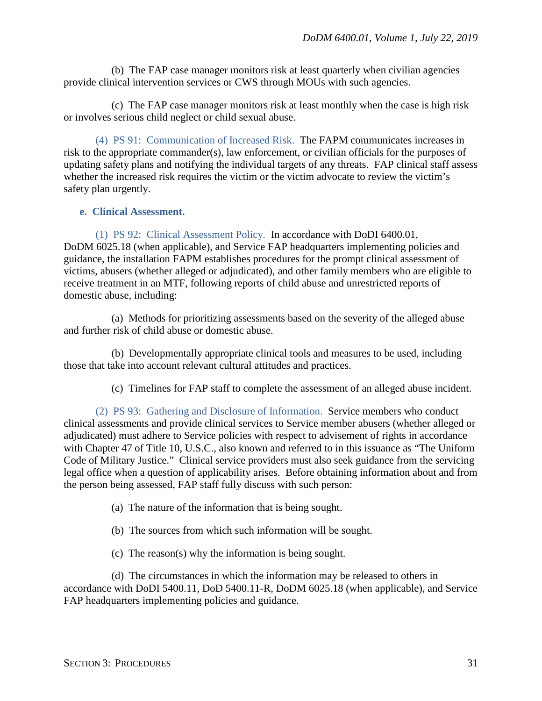(b) The FAP case manager monitors risk at least quarterly when civilian agencies provide clinical intervention services or CWS through MOUs with such agencies.

(c) The FAP case manager monitors risk at least monthly when the case is high risk or involves serious child neglect or child sexual abuse.

(4) PS 91: Communication of Increased Risk. The FAPM communicates increases in risk to the appropriate commander(s), law enforcement, or civilian officials for the purposes of updating safety plans and notifying the individual targets of any threats. FAP clinical staff assess whether the increased risk requires the victim or the victim advocate to review the victim's safety plan urgently.

### <span id="page-30-0"></span>**e. Clinical Assessment.**

(1) PS 92: Clinical Assessment Policy. In accordance with DoDI 6400.01, DoDM 6025.18 (when applicable), and Service FAP headquarters implementing policies and guidance, the installation FAPM establishes procedures for the prompt clinical assessment of victims, abusers (whether alleged or adjudicated), and other family members who are eligible to receive treatment in an MTF, following reports of child abuse and unrestricted reports of domestic abuse, including:

(a) Methods for prioritizing assessments based on the severity of the alleged abuse and further risk of child abuse or domestic abuse.

(b) Developmentally appropriate clinical tools and measures to be used, including those that take into account relevant cultural attitudes and practices.

(c) Timelines for FAP staff to complete the assessment of an alleged abuse incident.

(2) PS 93: Gathering and Disclosure of Information. Service members who conduct clinical assessments and provide clinical services to Service member abusers (whether alleged or adjudicated) must adhere to Service policies with respect to advisement of rights in accordance with Chapter 47 of Title 10, U.S.C., also known and referred to in this issuance as "The Uniform Code of Military Justice." Clinical service providers must also seek guidance from the servicing legal office when a question of applicability arises. Before obtaining information about and from the person being assessed, FAP staff fully discuss with such person:

- (a) The nature of the information that is being sought.
- (b) The sources from which such information will be sought.
- (c) The reason(s) why the information is being sought.

(d) The circumstances in which the information may be released to others in accordance with DoDI 5400.11, DoD 5400.11-R, DoDM 6025.18 (when applicable), and Service FAP headquarters implementing policies and guidance.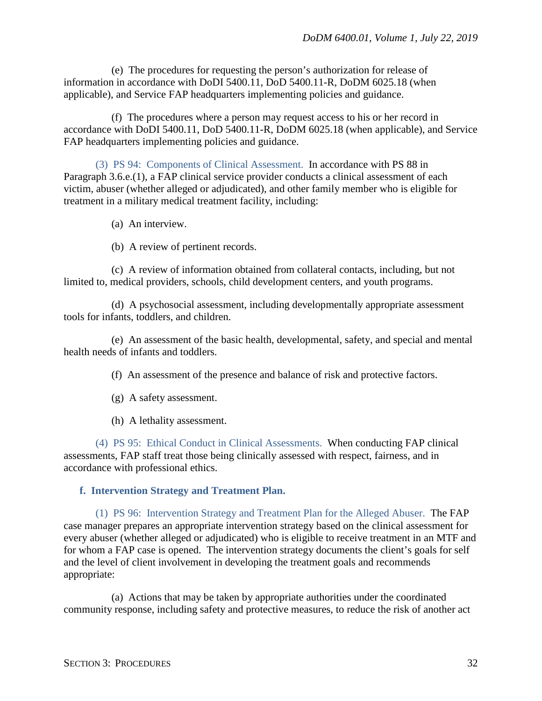(e) The procedures for requesting the person's authorization for release of information in accordance with DoDI 5400.11, DoD 5400.11-R, DoDM 6025.18 (when applicable), and Service FAP headquarters implementing policies and guidance.

(f) The procedures where a person may request access to his or her record in accordance with DoDI 5400.11, DoD 5400.11-R, DoDM 6025.18 (when applicable), and Service FAP headquarters implementing policies and guidance.

(3) PS 94: Components of Clinical Assessment. In accordance with PS 88 in Paragraph 3.6.e.(1), a FAP clinical service provider conducts a clinical assessment of each victim, abuser (whether alleged or adjudicated), and other family member who is eligible for treatment in a military medical treatment facility, including:

(a) An interview.

(b) A review of pertinent records.

(c) A review of information obtained from collateral contacts, including, but not limited to, medical providers, schools, child development centers, and youth programs.

(d) A psychosocial assessment, including developmentally appropriate assessment tools for infants, toddlers, and children.

(e) An assessment of the basic health, developmental, safety, and special and mental health needs of infants and toddlers.

(f) An assessment of the presence and balance of risk and protective factors.

- (g) A safety assessment.
- (h) A lethality assessment.

(4) PS 95: Ethical Conduct in Clinical Assessments. When conducting FAP clinical assessments, FAP staff treat those being clinically assessed with respect, fairness, and in accordance with professional ethics.

#### <span id="page-31-0"></span>**f. Intervention Strategy and Treatment Plan.**

(1) PS 96: Intervention Strategy and Treatment Plan for the Alleged Abuser. The FAP case manager prepares an appropriate intervention strategy based on the clinical assessment for every abuser (whether alleged or adjudicated) who is eligible to receive treatment in an MTF and for whom a FAP case is opened. The intervention strategy documents the client's goals for self and the level of client involvement in developing the treatment goals and recommends appropriate:

(a) Actions that may be taken by appropriate authorities under the coordinated community response, including safety and protective measures, to reduce the risk of another act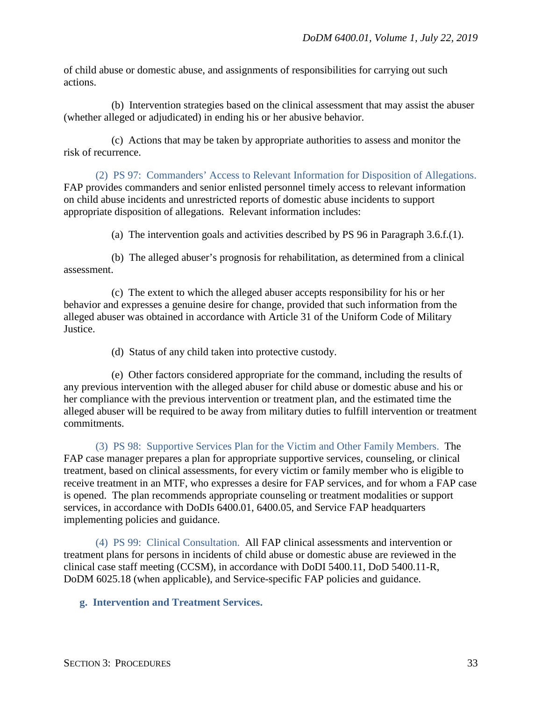of child abuse or domestic abuse, and assignments of responsibilities for carrying out such actions.

(b) Intervention strategies based on the clinical assessment that may assist the abuser (whether alleged or adjudicated) in ending his or her abusive behavior.

(c) Actions that may be taken by appropriate authorities to assess and monitor the risk of recurrence.

(2) PS 97: Commanders' Access to Relevant Information for Disposition of Allegations. FAP provides commanders and senior enlisted personnel timely access to relevant information on child abuse incidents and unrestricted reports of domestic abuse incidents to support appropriate disposition of allegations. Relevant information includes:

(a) The intervention goals and activities described by PS 96 in Paragraph 3.6.f.(1).

(b) The alleged abuser's prognosis for rehabilitation, as determined from a clinical assessment.

(c) The extent to which the alleged abuser accepts responsibility for his or her behavior and expresses a genuine desire for change, provided that such information from the alleged abuser was obtained in accordance with Article 31 of the Uniform Code of Military Justice.

(d) Status of any child taken into protective custody.

(e) Other factors considered appropriate for the command, including the results of any previous intervention with the alleged abuser for child abuse or domestic abuse and his or her compliance with the previous intervention or treatment plan, and the estimated time the alleged abuser will be required to be away from military duties to fulfill intervention or treatment commitments.

(3) PS 98: Supportive Services Plan for the Victim and Other Family Members. The FAP case manager prepares a plan for appropriate supportive services, counseling, or clinical treatment, based on clinical assessments, for every victim or family member who is eligible to receive treatment in an MTF, who expresses a desire for FAP services, and for whom a FAP case is opened. The plan recommends appropriate counseling or treatment modalities or support services, in accordance with DoDIs 6400.01, 6400.05, and Service FAP headquarters implementing policies and guidance.

(4) PS 99: Clinical Consultation. All FAP clinical assessments and intervention or treatment plans for persons in incidents of child abuse or domestic abuse are reviewed in the clinical case staff meeting (CCSM), in accordance with DoDI 5400.11, DoD 5400.11-R, DoDM 6025.18 (when applicable), and Service-specific FAP policies and guidance.

<span id="page-32-0"></span>**g. Intervention and Treatment Services.**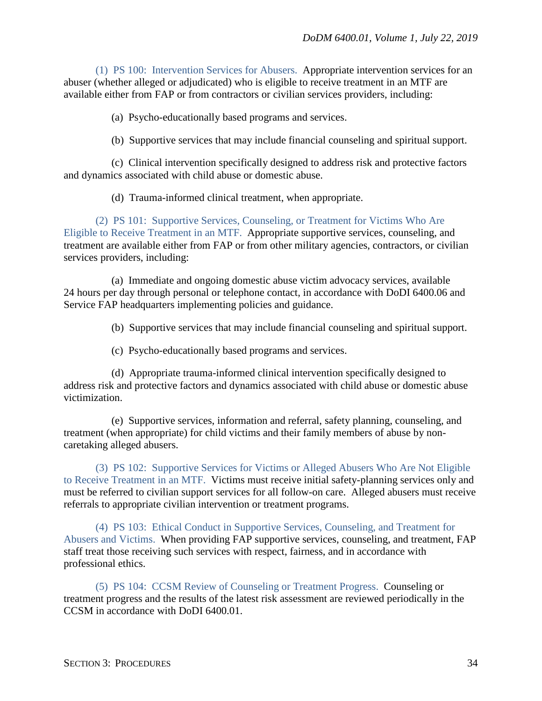(1) PS 100: Intervention Services for Abusers. Appropriate intervention services for an abuser (whether alleged or adjudicated) who is eligible to receive treatment in an MTF are available either from FAP or from contractors or civilian services providers, including:

(a) Psycho-educationally based programs and services.

(b) Supportive services that may include financial counseling and spiritual support.

(c) Clinical intervention specifically designed to address risk and protective factors and dynamics associated with child abuse or domestic abuse.

(d) Trauma-informed clinical treatment, when appropriate.

(2) PS 101: Supportive Services, Counseling, or Treatment for Victims Who Are Eligible to Receive Treatment in an MTF. Appropriate supportive services, counseling, and treatment are available either from FAP or from other military agencies, contractors, or civilian services providers, including:

(a) Immediate and ongoing domestic abuse victim advocacy services, available 24 hours per day through personal or telephone contact, in accordance with DoDI 6400.06 and Service FAP headquarters implementing policies and guidance.

(b) Supportive services that may include financial counseling and spiritual support.

(c) Psycho-educationally based programs and services.

(d) Appropriate trauma-informed clinical intervention specifically designed to address risk and protective factors and dynamics associated with child abuse or domestic abuse victimization.

(e) Supportive services, information and referral, safety planning, counseling, and treatment (when appropriate) for child victims and their family members of abuse by noncaretaking alleged abusers.

(3) PS 102: Supportive Services for Victims or Alleged Abusers Who Are Not Eligible to Receive Treatment in an MTF. Victims must receive initial safety-planning services only and must be referred to civilian support services for all follow-on care. Alleged abusers must receive referrals to appropriate civilian intervention or treatment programs.

(4) PS 103: Ethical Conduct in Supportive Services, Counseling, and Treatment for Abusers and Victims. When providing FAP supportive services, counseling, and treatment, FAP staff treat those receiving such services with respect, fairness, and in accordance with professional ethics.

(5) PS 104: CCSM Review of Counseling or Treatment Progress. Counseling or treatment progress and the results of the latest risk assessment are reviewed periodically in the CCSM in accordance with DoDI 6400.01.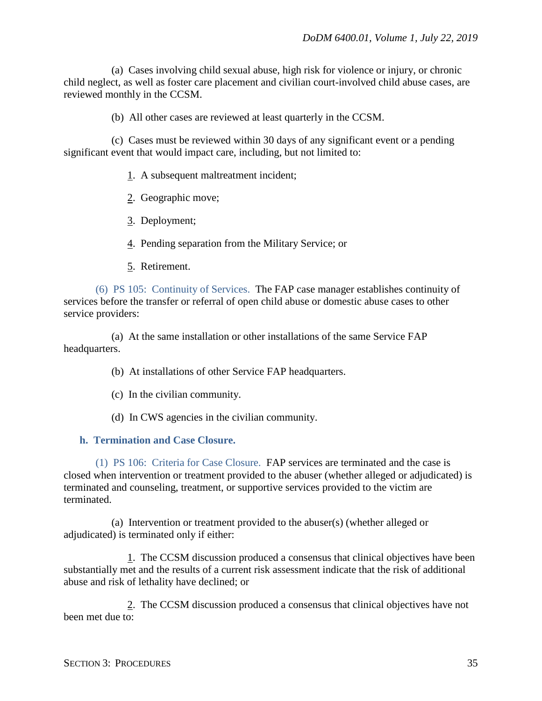(a) Cases involving child sexual abuse, high risk for violence or injury, or chronic child neglect, as well as foster care placement and civilian court-involved child abuse cases, are reviewed monthly in the CCSM.

(b) All other cases are reviewed at least quarterly in the CCSM.

(c) Cases must be reviewed within 30 days of any significant event or a pending significant event that would impact care, including, but not limited to:

- 1. A subsequent maltreatment incident;
- 2. Geographic move;
- 3. Deployment;
- 4. Pending separation from the Military Service; or
- 5. Retirement.

(6) PS 105: Continuity of Services. The FAP case manager establishes continuity of services before the transfer or referral of open child abuse or domestic abuse cases to other service providers:

(a) At the same installation or other installations of the same Service FAP headquarters.

- (b) At installations of other Service FAP headquarters.
- (c) In the civilian community.
- (d) In CWS agencies in the civilian community.

#### <span id="page-34-0"></span>**h. Termination and Case Closure.**

(1) PS 106: Criteria for Case Closure. FAP services are terminated and the case is closed when intervention or treatment provided to the abuser (whether alleged or adjudicated) is terminated and counseling, treatment, or supportive services provided to the victim are terminated.

(a) Intervention or treatment provided to the abuser(s) (whether alleged or adjudicated) is terminated only if either:

1. The CCSM discussion produced a consensus that clinical objectives have been substantially met and the results of a current risk assessment indicate that the risk of additional abuse and risk of lethality have declined; or

2. The CCSM discussion produced a consensus that clinical objectives have not been met due to: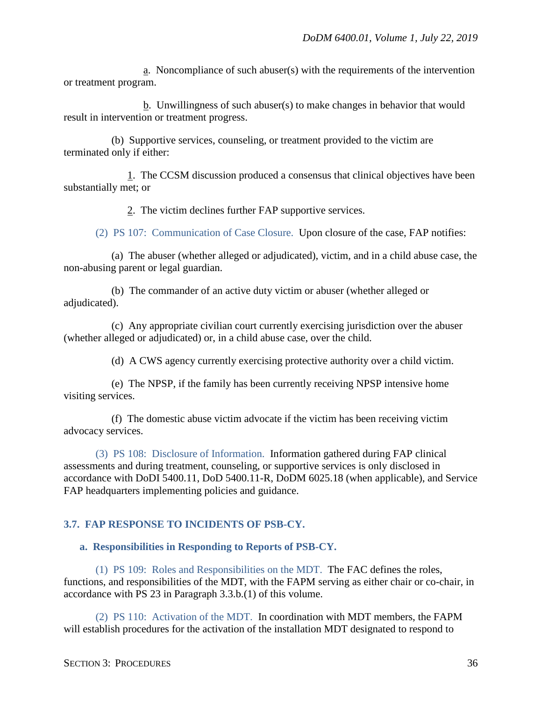a. Noncompliance of such abuser(s) with the requirements of the intervention or treatment program.

b. Unwillingness of such abuser(s) to make changes in behavior that would result in intervention or treatment progress.

(b) Supportive services, counseling, or treatment provided to the victim are terminated only if either:

1. The CCSM discussion produced a consensus that clinical objectives have been substantially met; or

2. The victim declines further FAP supportive services.

(2) PS 107: Communication of Case Closure. Upon closure of the case, FAP notifies:

(a) The abuser (whether alleged or adjudicated), victim, and in a child abuse case, the non-abusing parent or legal guardian.

(b) The commander of an active duty victim or abuser (whether alleged or adjudicated).

(c) Any appropriate civilian court currently exercising jurisdiction over the abuser (whether alleged or adjudicated) or, in a child abuse case, over the child.

(d) A CWS agency currently exercising protective authority over a child victim.

(e) The NPSP, if the family has been currently receiving NPSP intensive home visiting services.

(f) The domestic abuse victim advocate if the victim has been receiving victim advocacy services.

(3) PS 108: Disclosure of Information. Information gathered during FAP clinical assessments and during treatment, counseling, or supportive services is only disclosed in accordance with DoDI 5400.11, DoD 5400.11-R, DoDM 6025.18 (when applicable), and Service FAP headquarters implementing policies and guidance.

#### <span id="page-35-0"></span>**3.7. FAP RESPONSE TO INCIDENTS OF PSB-CY.**

#### <span id="page-35-1"></span>**a. Responsibilities in Responding to Reports of PSB-CY.**

(1) PS 109: Roles and Responsibilities on the MDT. The FAC defines the roles, functions, and responsibilities of the MDT, with the FAPM serving as either chair or co-chair, in accordance with PS 23 in Paragraph 3.3.b.(1) of this volume.

(2) PS 110: Activation of the MDT. In coordination with MDT members, the FAPM will establish procedures for the activation of the installation MDT designated to respond to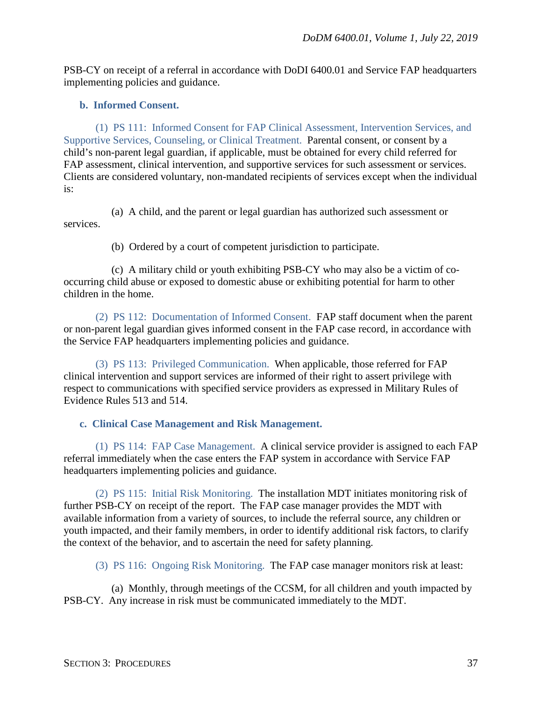PSB-CY on receipt of a referral in accordance with DoDI 6400.01 and Service FAP headquarters implementing policies and guidance.

### <span id="page-36-0"></span>**b. Informed Consent.**

(1) PS 111: Informed Consent for FAP Clinical Assessment, Intervention Services, and Supportive Services, Counseling, or Clinical Treatment. Parental consent, or consent by a child's non-parent legal guardian, if applicable, must be obtained for every child referred for FAP assessment, clinical intervention, and supportive services for such assessment or services. Clients are considered voluntary, non-mandated recipients of services except when the individual is:

(a) A child, and the parent or legal guardian has authorized such assessment or services.

(b) Ordered by a court of competent jurisdiction to participate.

(c) A military child or youth exhibiting PSB-CY who may also be a victim of cooccurring child abuse or exposed to domestic abuse or exhibiting potential for harm to other children in the home.

(2) PS 112: Documentation of Informed Consent. FAP staff document when the parent or non-parent legal guardian gives informed consent in the FAP case record, in accordance with the Service FAP headquarters implementing policies and guidance.

(3) PS 113: Privileged Communication. When applicable, those referred for FAP clinical intervention and support services are informed of their right to assert privilege with respect to communications with specified service providers as expressed in Military Rules of Evidence Rules 513 and 514.

## <span id="page-36-1"></span>**c. Clinical Case Management and Risk Management.**

(1) PS 114: FAP Case Management. A clinical service provider is assigned to each FAP referral immediately when the case enters the FAP system in accordance with Service FAP headquarters implementing policies and guidance.

(2) PS 115: Initial Risk Monitoring. The installation MDT initiates monitoring risk of further PSB-CY on receipt of the report. The FAP case manager provides the MDT with available information from a variety of sources, to include the referral source, any children or youth impacted, and their family members, in order to identify additional risk factors, to clarify the context of the behavior, and to ascertain the need for safety planning.

(3) PS 116: Ongoing Risk Monitoring. The FAP case manager monitors risk at least:

(a) Monthly, through meetings of the CCSM, for all children and youth impacted by PSB-CY. Any increase in risk must be communicated immediately to the MDT.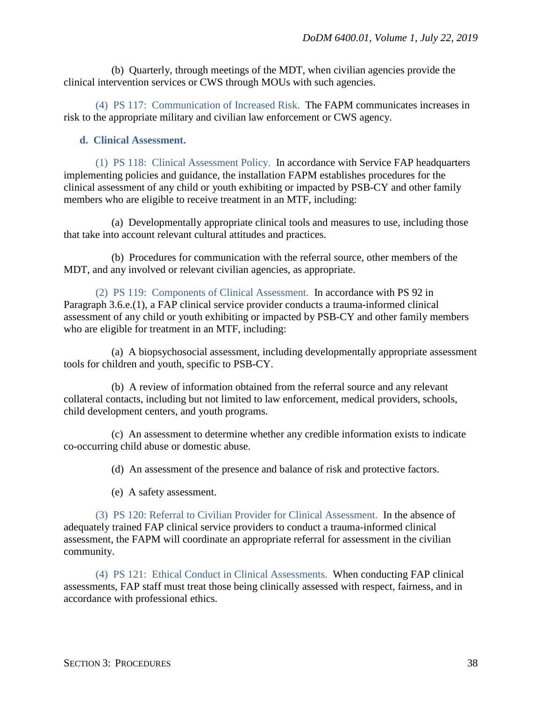(b) Quarterly, through meetings of the MDT, when civilian agencies provide the clinical intervention services or CWS through MOUs with such agencies.

(4) PS 117: Communication of Increased Risk. The FAPM communicates increases in risk to the appropriate military and civilian law enforcement or CWS agency.

### <span id="page-37-0"></span>**d. Clinical Assessment.**

(1) PS 118: Clinical Assessment Policy. In accordance with Service FAP headquarters implementing policies and guidance, the installation FAPM establishes procedures for the clinical assessment of any child or youth exhibiting or impacted by PSB-CY and other family members who are eligible to receive treatment in an MTF, including:

(a) Developmentally appropriate clinical tools and measures to use, including those that take into account relevant cultural attitudes and practices.

(b) Procedures for communication with the referral source, other members of the MDT, and any involved or relevant civilian agencies, as appropriate.

(2) PS 119: Components of Clinical Assessment. In accordance with PS 92 in Paragraph 3.6.e.(1), a FAP clinical service provider conducts a trauma-informed clinical assessment of any child or youth exhibiting or impacted by PSB-CY and other family members who are eligible for treatment in an MTF, including:

(a) A biopsychosocial assessment, including developmentally appropriate assessment tools for children and youth, specific to PSB-CY.

(b) A review of information obtained from the referral source and any relevant collateral contacts, including but not limited to law enforcement, medical providers, schools, child development centers, and youth programs.

(c) An assessment to determine whether any credible information exists to indicate co-occurring child abuse or domestic abuse.

(d) An assessment of the presence and balance of risk and protective factors.

(e) A safety assessment.

(3) PS 120: Referral to Civilian Provider for Clinical Assessment. In the absence of adequately trained FAP clinical service providers to conduct a trauma-informed clinical assessment, the FAPM will coordinate an appropriate referral for assessment in the civilian community.

(4) PS 121: Ethical Conduct in Clinical Assessments. When conducting FAP clinical assessments, FAP staff must treat those being clinically assessed with respect, fairness, and in accordance with professional ethics.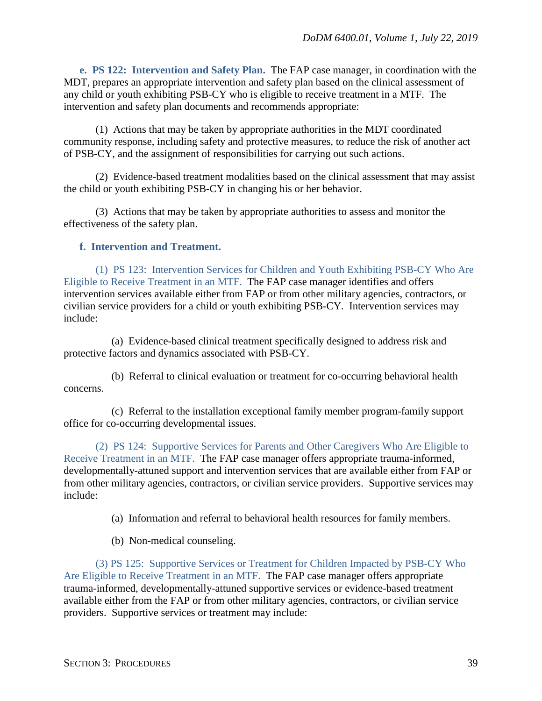<span id="page-38-0"></span>**e. PS 122: Intervention and Safety Plan.** The FAP case manager, in coordination with the MDT, prepares an appropriate intervention and safety plan based on the clinical assessment of any child or youth exhibiting PSB-CY who is eligible to receive treatment in a MTF. The intervention and safety plan documents and recommends appropriate:

(1) Actions that may be taken by appropriate authorities in the MDT coordinated community response, including safety and protective measures, to reduce the risk of another act of PSB-CY, and the assignment of responsibilities for carrying out such actions.

(2) Evidence-based treatment modalities based on the clinical assessment that may assist the child or youth exhibiting PSB-CY in changing his or her behavior.

(3) Actions that may be taken by appropriate authorities to assess and monitor the effectiveness of the safety plan.

#### <span id="page-38-1"></span>**f. Intervention and Treatment.**

(1) PS 123: Intervention Services for Children and Youth Exhibiting PSB-CY Who Are Eligible to Receive Treatment in an MTF. The FAP case manager identifies and offers intervention services available either from FAP or from other military agencies, contractors, or civilian service providers for a child or youth exhibiting PSB-CY. Intervention services may include:

(a) Evidence-based clinical treatment specifically designed to address risk and protective factors and dynamics associated with PSB-CY.

(b) Referral to clinical evaluation or treatment for co-occurring behavioral health concerns.

(c) Referral to the installation exceptional family member program-family support office for co-occurring developmental issues.

(2) PS 124: Supportive Services for Parents and Other Caregivers Who Are Eligible to Receive Treatment in an MTF. The FAP case manager offers appropriate trauma-informed, developmentally-attuned support and intervention services that are available either from FAP or from other military agencies, contractors, or civilian service providers. Supportive services may include:

(a) Information and referral to behavioral health resources for family members.

(b) Non-medical counseling.

(3) PS 125: Supportive Services or Treatment for Children Impacted by PSB-CY Who Are Eligible to Receive Treatment in an MTF. The FAP case manager offers appropriate trauma-informed, developmentally-attuned supportive services or evidence-based treatment available either from the FAP or from other military agencies, contractors, or civilian service providers. Supportive services or treatment may include: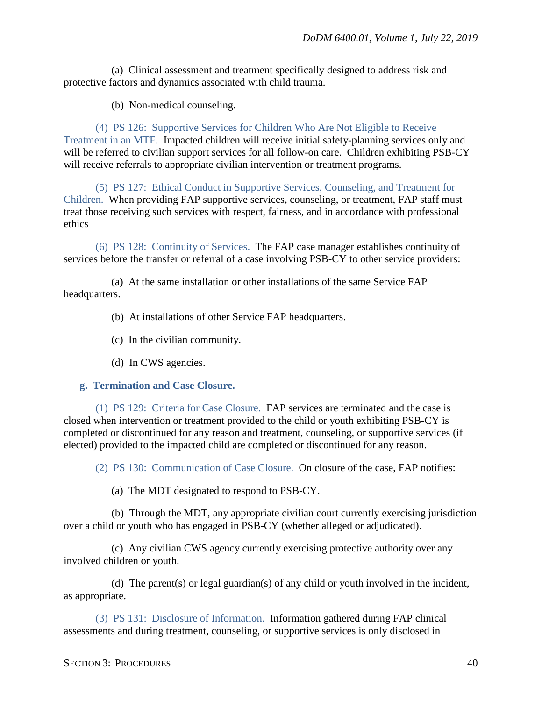(a) Clinical assessment and treatment specifically designed to address risk and protective factors and dynamics associated with child trauma.

(b) Non-medical counseling.

(4) PS 126: Supportive Services for Children Who Are Not Eligible to Receive Treatment in an MTF. Impacted children will receive initial safety-planning services only and will be referred to civilian support services for all follow-on care. Children exhibiting PSB-CY will receive referrals to appropriate civilian intervention or treatment programs.

(5) PS 127: Ethical Conduct in Supportive Services, Counseling, and Treatment for Children. When providing FAP supportive services, counseling, or treatment, FAP staff must treat those receiving such services with respect, fairness, and in accordance with professional ethics

(6) PS 128: Continuity of Services. The FAP case manager establishes continuity of services before the transfer or referral of a case involving PSB-CY to other service providers:

(a) At the same installation or other installations of the same Service FAP headquarters.

- (b) At installations of other Service FAP headquarters.
- (c) In the civilian community.
- (d) In CWS agencies.

#### <span id="page-39-0"></span>**g. Termination and Case Closure.**

(1) PS 129: Criteria for Case Closure. FAP services are terminated and the case is closed when intervention or treatment provided to the child or youth exhibiting PSB-CY is completed or discontinued for any reason and treatment, counseling, or supportive services (if elected) provided to the impacted child are completed or discontinued for any reason.

(2) PS 130: Communication of Case Closure. On closure of the case, FAP notifies:

(a) The MDT designated to respond to PSB-CY.

(b) Through the MDT, any appropriate civilian court currently exercising jurisdiction over a child or youth who has engaged in PSB-CY (whether alleged or adjudicated).

(c) Any civilian CWS agency currently exercising protective authority over any involved children or youth.

(d) The parent(s) or legal guardian(s) of any child or youth involved in the incident, as appropriate.

(3) PS 131: Disclosure of Information. Information gathered during FAP clinical assessments and during treatment, counseling, or supportive services is only disclosed in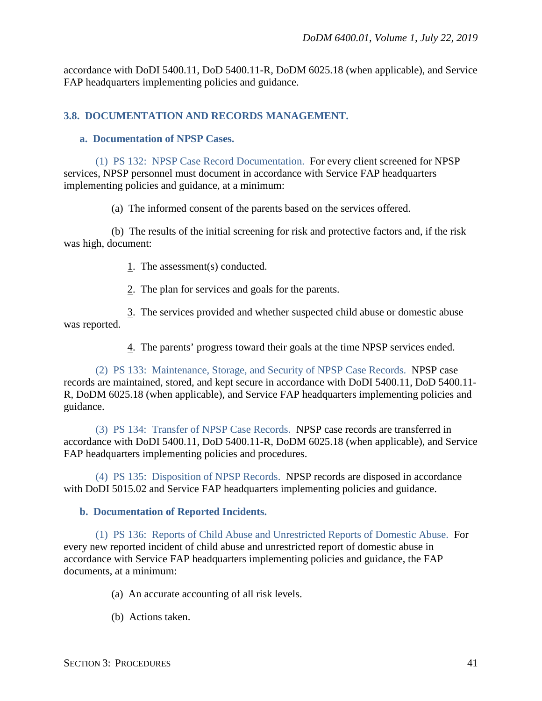accordance with DoDI 5400.11, DoD 5400.11-R, DoDM 6025.18 (when applicable), and Service FAP headquarters implementing policies and guidance.

#### <span id="page-40-0"></span>**3.8. DOCUMENTATION AND RECORDS MANAGEMENT.**

#### <span id="page-40-1"></span>**a. Documentation of NPSP Cases.**

(1) PS 132: NPSP Case Record Documentation. For every client screened for NPSP services, NPSP personnel must document in accordance with Service FAP headquarters implementing policies and guidance, at a minimum:

(a) The informed consent of the parents based on the services offered.

(b) The results of the initial screening for risk and protective factors and, if the risk was high, document:

- 1. The assessment(s) conducted.
- 2. The plan for services and goals for the parents.

3. The services provided and whether suspected child abuse or domestic abuse was reported.

4. The parents' progress toward their goals at the time NPSP services ended.

(2) PS 133: Maintenance, Storage, and Security of NPSP Case Records. NPSP case records are maintained, stored, and kept secure in accordance with DoDI 5400.11, DoD 5400.11- R, DoDM 6025.18 (when applicable), and Service FAP headquarters implementing policies and guidance.

(3) PS 134: Transfer of NPSP Case Records. NPSP case records are transferred in accordance with DoDI 5400.11, DoD 5400.11-R, DoDM 6025.18 (when applicable), and Service FAP headquarters implementing policies and procedures.

(4) PS 135: Disposition of NPSP Records. NPSP records are disposed in accordance with DoDI 5015.02 and Service FAP headquarters implementing policies and guidance.

#### <span id="page-40-2"></span>**b. Documentation of Reported Incidents.**

(1) PS 136: Reports of Child Abuse and Unrestricted Reports of Domestic Abuse. For every new reported incident of child abuse and unrestricted report of domestic abuse in accordance with Service FAP headquarters implementing policies and guidance, the FAP documents, at a minimum:

(a) An accurate accounting of all risk levels.

(b) Actions taken.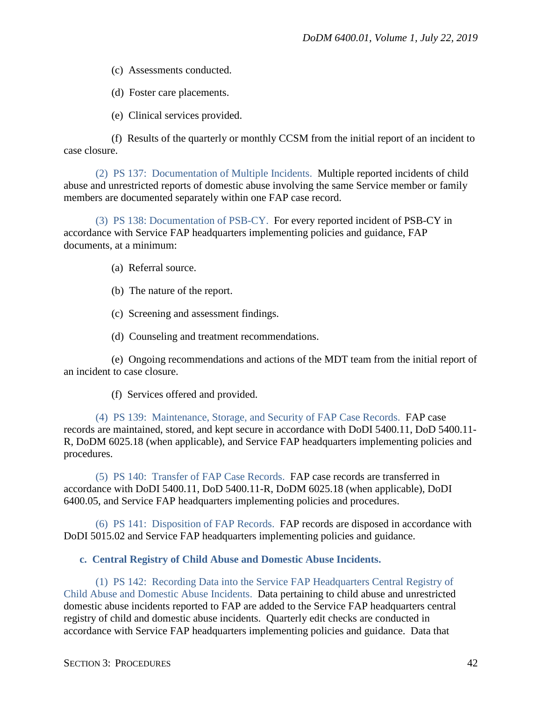(c) Assessments conducted.

(d) Foster care placements.

(e) Clinical services provided.

(f) Results of the quarterly or monthly CCSM from the initial report of an incident to case closure.

(2) PS 137: Documentation of Multiple Incidents. Multiple reported incidents of child abuse and unrestricted reports of domestic abuse involving the same Service member or family members are documented separately within one FAP case record.

(3) PS 138: Documentation of PSB-CY. For every reported incident of PSB-CY in accordance with Service FAP headquarters implementing policies and guidance, FAP documents, at a minimum:

(a) Referral source.

(b) The nature of the report.

(c) Screening and assessment findings.

(d) Counseling and treatment recommendations.

(e) Ongoing recommendations and actions of the MDT team from the initial report of an incident to case closure.

(f) Services offered and provided.

(4) PS 139: Maintenance, Storage, and Security of FAP Case Records. FAP case records are maintained, stored, and kept secure in accordance with DoDI 5400.11, DoD 5400.11- R, DoDM 6025.18 (when applicable), and Service FAP headquarters implementing policies and procedures.

(5) PS 140: Transfer of FAP Case Records. FAP case records are transferred in accordance with DoDI 5400.11, DoD 5400.11-R, DoDM 6025.18 (when applicable), DoDI 6400.05, and Service FAP headquarters implementing policies and procedures.

(6) PS 141: Disposition of FAP Records. FAP records are disposed in accordance with DoDI 5015.02 and Service FAP headquarters implementing policies and guidance.

<span id="page-41-0"></span>**c. Central Registry of Child Abuse and Domestic Abuse Incidents.** 

(1) PS 142: Recording Data into the Service FAP Headquarters Central Registry of Child Abuse and Domestic Abuse Incidents. Data pertaining to child abuse and unrestricted domestic abuse incidents reported to FAP are added to the Service FAP headquarters central registry of child and domestic abuse incidents. Quarterly edit checks are conducted in accordance with Service FAP headquarters implementing policies and guidance. Data that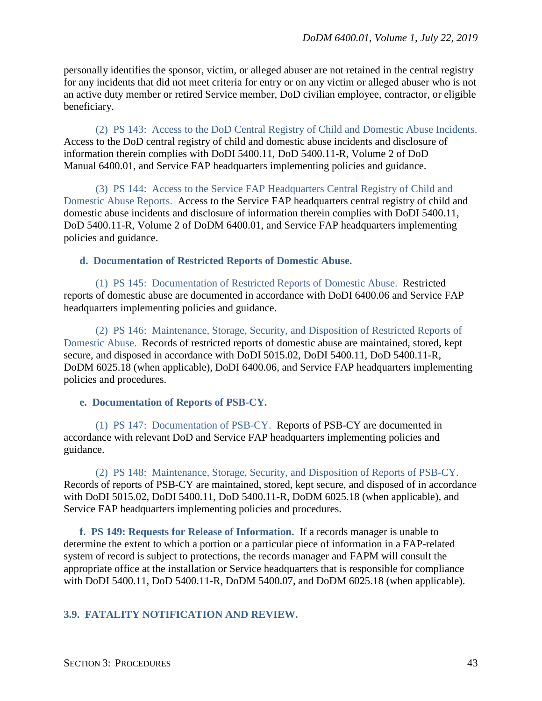personally identifies the sponsor, victim, or alleged abuser are not retained in the central registry for any incidents that did not meet criteria for entry or on any victim or alleged abuser who is not an active duty member or retired Service member, DoD civilian employee, contractor, or eligible beneficiary.

(2) PS 143: Access to the DoD Central Registry of Child and Domestic Abuse Incidents. Access to the DoD central registry of child and domestic abuse incidents and disclosure of information therein complies with DoDI 5400.11, DoD 5400.11-R, Volume 2 of DoD Manual 6400.01, and Service FAP headquarters implementing policies and guidance.

(3) PS 144: Access to the Service FAP Headquarters Central Registry of Child and Domestic Abuse Reports. Access to the Service FAP headquarters central registry of child and domestic abuse incidents and disclosure of information therein complies with DoDI 5400.11, DoD 5400.11-R, Volume 2 of DoDM 6400.01, and Service FAP headquarters implementing policies and guidance.

<span id="page-42-0"></span>**d. Documentation of Restricted Reports of Domestic Abuse.** 

(1) PS 145: Documentation of Restricted Reports of Domestic Abuse. Restricted reports of domestic abuse are documented in accordance with DoDI 6400.06 and Service FAP headquarters implementing policies and guidance.

(2) PS 146: Maintenance, Storage, Security, and Disposition of Restricted Reports of Domestic Abuse. Records of restricted reports of domestic abuse are maintained, stored, kept secure, and disposed in accordance with DoDI 5015.02, DoDI 5400.11, DoD 5400.11-R, DoDM 6025.18 (when applicable), DoDI 6400.06, and Service FAP headquarters implementing policies and procedures.

<span id="page-42-1"></span>**e. Documentation of Reports of PSB-CY.** 

(1) PS 147: Documentation of PSB-CY. Reports of PSB-CY are documented in accordance with relevant DoD and Service FAP headquarters implementing policies and guidance.

(2) PS 148: Maintenance, Storage, Security, and Disposition of Reports of PSB-CY. Records of reports of PSB-CY are maintained, stored, kept secure, and disposed of in accordance with DoDI 5015.02, DoDI 5400.11, DoD 5400.11-R, DoDM 6025.18 (when applicable), and Service FAP headquarters implementing policies and procedures.

<span id="page-42-2"></span>**f. PS 149: Requests for Release of Information.** If a records manager is unable to determine the extent to which a portion or a particular piece of information in a FAP-related system of record is subject to protections, the records manager and FAPM will consult the appropriate office at the installation or Service headquarters that is responsible for compliance with DoDI 5400.11, DoD 5400.11-R, DoDM 5400.07, and DoDM 6025.18 (when applicable).

## <span id="page-42-3"></span>**3.9. FATALITY NOTIFICATION AND REVIEW.**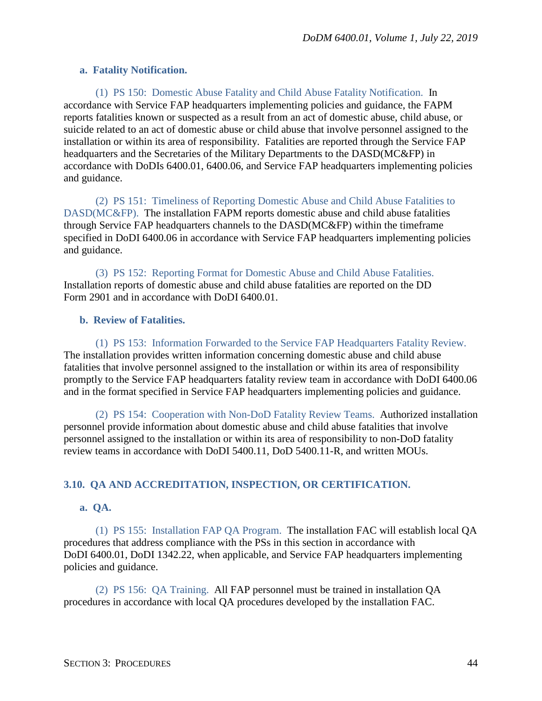#### <span id="page-43-0"></span>**a. Fatality Notification.**

(1) PS 150: Domestic Abuse Fatality and Child Abuse Fatality Notification. In accordance with Service FAP headquarters implementing policies and guidance, the FAPM reports fatalities known or suspected as a result from an act of domestic abuse, child abuse, or suicide related to an act of domestic abuse or child abuse that involve personnel assigned to the installation or within its area of responsibility. Fatalities are reported through the Service FAP headquarters and the Secretaries of the Military Departments to the DASD(MC&FP) in accordance with DoDIs 6400.01, 6400.06, and Service FAP headquarters implementing policies and guidance.

(2) PS 151: Timeliness of Reporting Domestic Abuse and Child Abuse Fatalities to DASD(MC&FP). The installation FAPM reports domestic abuse and child abuse fatalities through Service FAP headquarters channels to the DASD(MC&FP) within the timeframe specified in DoDI 6400.06 in accordance with Service FAP headquarters implementing policies and guidance.

(3) PS 152: Reporting Format for Domestic Abuse and Child Abuse Fatalities. Installation reports of domestic abuse and child abuse fatalities are reported on the DD Form 2901 and in accordance with DoDI 6400.01.

#### <span id="page-43-1"></span>**b. Review of Fatalities.**

(1) PS 153: Information Forwarded to the Service FAP Headquarters Fatality Review. The installation provides written information concerning domestic abuse and child abuse fatalities that involve personnel assigned to the installation or within its area of responsibility promptly to the Service FAP headquarters fatality review team in accordance with DoDI 6400.06 and in the format specified in Service FAP headquarters implementing policies and guidance.

(2) PS 154: Cooperation with Non-DoD Fatality Review Teams. Authorized installation personnel provide information about domestic abuse and child abuse fatalities that involve personnel assigned to the installation or within its area of responsibility to non-DoD fatality review teams in accordance with DoDI 5400.11, DoD 5400.11-R, and written MOUs.

#### <span id="page-43-2"></span>**3.10. QA AND ACCREDITATION, INSPECTION, OR CERTIFICATION.**

#### <span id="page-43-3"></span>**a. QA.**

(1) PS 155: Installation FAP QA Program. The installation FAC will establish local QA procedures that address compliance with the PSs in this section in accordance with DoDI 6400.01, DoDI 1342.22, when applicable, and Service FAP headquarters implementing policies and guidance.

(2) PS 156: QA Training. All FAP personnel must be trained in installation QA procedures in accordance with local QA procedures developed by the installation FAC.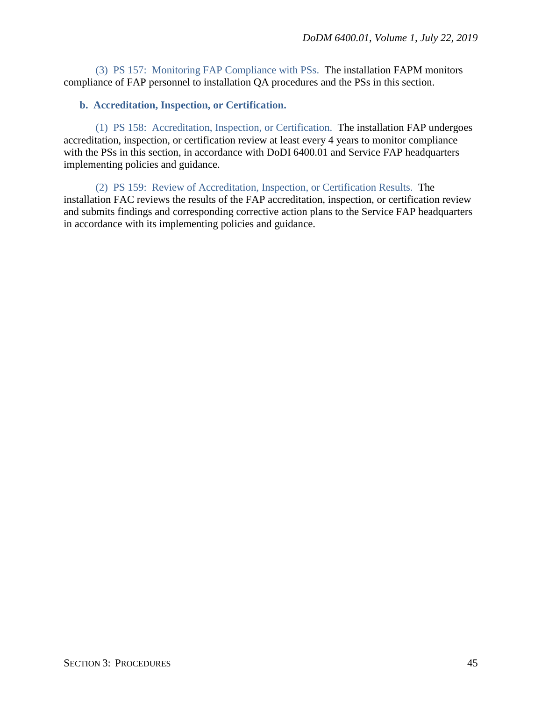(3) PS 157: Monitoring FAP Compliance with PSs. The installation FAPM monitors compliance of FAP personnel to installation QA procedures and the PSs in this section.

### <span id="page-44-0"></span>**b. Accreditation, Inspection, or Certification.**

(1) PS 158: Accreditation, Inspection, or Certification. The installation FAP undergoes accreditation, inspection, or certification review at least every 4 years to monitor compliance with the PSs in this section, in accordance with DoDI 6400.01 and Service FAP headquarters implementing policies and guidance.

(2) PS 159: Review of Accreditation, Inspection, or Certification Results. The installation FAC reviews the results of the FAP accreditation, inspection, or certification review and submits findings and corresponding corrective action plans to the Service FAP headquarters in accordance with its implementing policies and guidance.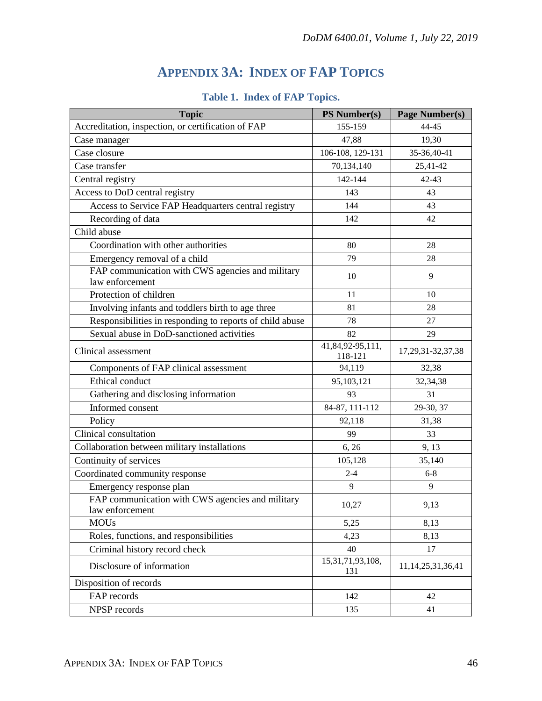# **APPENDIX 3A: INDEX OF FAP TOPICS**

<span id="page-45-0"></span>

| <b>Topic</b>                                                        | <b>PS Number(s)</b>         | <b>Page Number(s)</b>   |
|---------------------------------------------------------------------|-----------------------------|-------------------------|
| Accreditation, inspection, or certification of FAP                  | 155-159                     | 44-45                   |
| Case manager                                                        | 47,88                       | 19,30                   |
| Case closure                                                        | 106-108, 129-131            | 35-36,40-41             |
| Case transfer                                                       | 70,134,140                  | 25,41-42                |
| Central registry                                                    | 142-144                     | $42 - 43$               |
| Access to DoD central registry                                      | 143                         | 43                      |
| Access to Service FAP Headquarters central registry                 | 144                         | 43                      |
| Recording of data                                                   | 142                         | 42                      |
| Child abuse                                                         |                             |                         |
| Coordination with other authorities                                 | 80                          | 28                      |
| Emergency removal of a child                                        | 79                          | 28                      |
| FAP communication with CWS agencies and military<br>law enforcement | 10                          | 9                       |
| Protection of children                                              | 11                          | 10                      |
| Involving infants and toddlers birth to age three                   | 81                          | 28                      |
| Responsibilities in responding to reports of child abuse            | 78                          | 27                      |
| Sexual abuse in DoD-sanctioned activities                           | 82                          | 29                      |
| Clinical assessment                                                 | 41,84,92-95,111,<br>118-121 | 17, 29, 31 - 32, 37, 38 |
| Components of FAP clinical assessment                               | 94,119                      | 32,38                   |
| Ethical conduct                                                     | 95,103,121                  | 32, 34, 38              |
| Gathering and disclosing information                                | 93                          | 31                      |
| Informed consent                                                    | 84-87, 111-112              | 29-30, 37               |
| Policy                                                              | 92,118                      | 31,38                   |
| Clinical consultation                                               | 99                          | 33                      |
| Collaboration between military installations                        | 6, 26                       | 9, 13                   |
| Continuity of services                                              | 105,128                     | 35,140                  |
| Coordinated community response                                      | $2 - 4$                     | $6 - 8$                 |
| Emergency response plan                                             | 9                           | 9                       |
| FAP communication with CWS agencies and military<br>law enforcement | 10,27                       | 9,13                    |
| <b>MOUs</b>                                                         | 5,25                        | 8,13                    |
| Roles, functions, and responsibilities                              | 4,23                        | 8,13                    |
| Criminal history record check                                       | 40                          | 17                      |
| Disclosure of information                                           | 15,31,71,93,108,<br>131     | 11, 14, 25, 31, 36, 41  |
| Disposition of records                                              |                             |                         |
| FAP records                                                         | 142                         | 42                      |
| NPSP records                                                        | 135                         | 41                      |

# **Table 1. Index of FAP Topics.**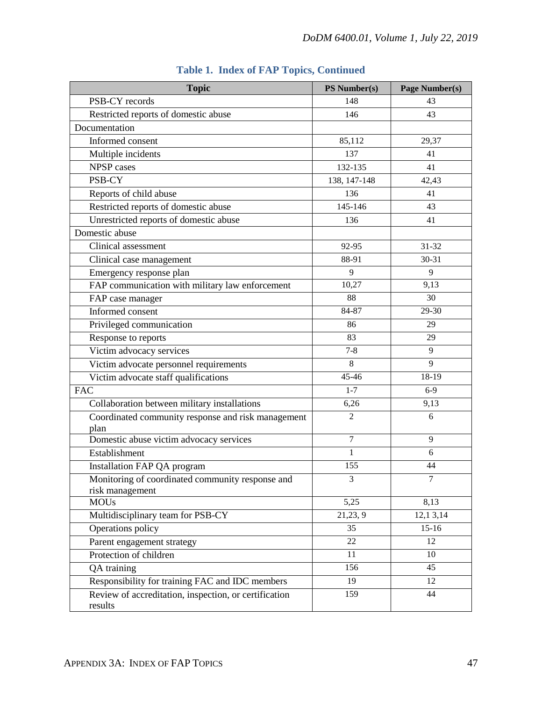| <b>Topic</b>                                                     | PS Number(s)   | Page Number(s) |
|------------------------------------------------------------------|----------------|----------------|
| PSB-CY records                                                   | 148            | 43             |
| Restricted reports of domestic abuse                             | 146            | 43             |
| Documentation                                                    |                |                |
| Informed consent                                                 | 85,112         | 29,37          |
| Multiple incidents                                               | 137            | 41             |
| <b>NPSP</b> cases                                                | 132-135        | 41             |
| PSB-CY                                                           | 138, 147-148   | 42,43          |
| Reports of child abuse                                           | 136            | 41             |
| Restricted reports of domestic abuse                             | 145-146        | 43             |
| Unrestricted reports of domestic abuse                           | 136            | 41             |
| Domestic abuse                                                   |                |                |
| Clinical assessment                                              | 92-95          | $31 - 32$      |
| Clinical case management                                         | 88-91          | $30 - 31$      |
| Emergency response plan                                          | 9              | 9              |
| FAP communication with military law enforcement                  | 10,27          | 9,13           |
| FAP case manager                                                 | 88             | 30             |
| Informed consent                                                 | 84-87          | 29-30          |
| Privileged communication                                         | 86             | 29             |
| Response to reports                                              | 83             | 29             |
| Victim advocacy services                                         | $7 - 8$        | 9              |
| Victim advocate personnel requirements                           | 8              | 9              |
| Victim advocate staff qualifications                             | 45-46          | $18-19$        |
| <b>FAC</b>                                                       | $1 - 7$        | $6-9$          |
| Collaboration between military installations                     | 6,26           | 9,13           |
| Coordinated community response and risk management               | $\overline{2}$ | 6              |
| plan                                                             |                |                |
| Domestic abuse victim advocacy services                          | 7              | 9              |
| Establishment                                                    | $\mathbf{1}$   | 6              |
| Installation FAP QA program                                      | 155            | 44             |
| Monitoring of coordinated community response and                 | 3              |                |
| risk management<br><b>MOUs</b>                                   | 5,25           | 8,13           |
| Multidisciplinary team for PSB-CY                                | 21,23, 9       | 12,13,14       |
| Operations policy                                                | 35             | $15-16$        |
| Parent engagement strategy                                       | 22             | 12             |
| Protection of children                                           | 11             | 10             |
|                                                                  | 156            | 45             |
| QA training<br>Responsibility for training FAC and IDC members   | 19             | 12             |
|                                                                  |                | 44             |
| Review of accreditation, inspection, or certification<br>results | 159            |                |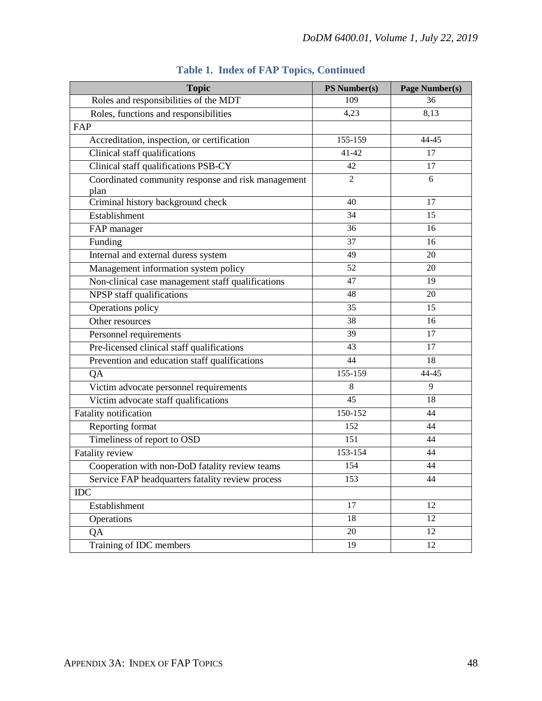| <b>Topic</b>                                               | PS Number(s)   | Page Number(s) |
|------------------------------------------------------------|----------------|----------------|
| Roles and responsibilities of the MDT                      | 109            | 36             |
| Roles, functions and responsibilities                      | 4,23           | 8,13           |
| FAP                                                        |                |                |
| Accreditation, inspection, or certification                | 155-159        | 44-45          |
| Clinical staff qualifications                              | $41 - 42$      | 17             |
| Clinical staff qualifications PSB-CY                       | 42             | 17             |
| Coordinated community response and risk management<br>plan | $\overline{2}$ | 6              |
| Criminal history background check                          | 40             | 17             |
| Establishment                                              | 34             | 15             |
| FAP manager                                                | 36             | 16             |
| Funding                                                    | 37             | 16             |
| Internal and external duress system                        | 49             | 20             |
| Management information system policy                       | 52             | 20             |
| Non-clinical case management staff qualifications          | 47             | 19             |
| NPSP staff qualifications                                  | 48             | 20             |
| Operations policy                                          | 35             | 15             |
| Other resources                                            | 38             | 16             |
| Personnel requirements                                     | 39             | 17             |
| Pre-licensed clinical staff qualifications                 | 43             | 17             |
| Prevention and education staff qualifications              | 44             | 18             |
| QA                                                         | 155-159        | 44-45          |
| Victim advocate personnel requirements                     | 8              | 9              |
| Victim advocate staff qualifications                       | 45             | 18             |
| Fatality notification                                      | 150-152        | 44             |
| Reporting format                                           | 152            | 44             |
| Timeliness of report to OSD                                | 151            | 44             |
| <b>Fatality review</b>                                     | 153-154        | 44             |
| Cooperation with non-DoD fatality review teams             | 154            | 44             |
| Service FAP headquarters fatality review process           | 153            | 44             |
| <b>IDC</b>                                                 |                |                |
| Establishment                                              | 17             | 12             |
| Operations                                                 | 18             | 12             |
| QA                                                         | 20             | 12             |
| Training of IDC members                                    | 19             | 12             |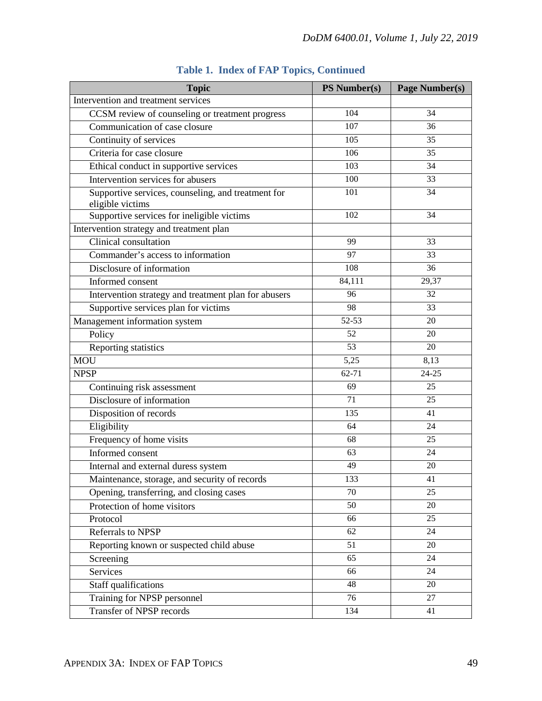| <b>Topic</b>                                                           | <b>PS Number(s)</b> | <b>Page Number(s)</b> |
|------------------------------------------------------------------------|---------------------|-----------------------|
| Intervention and treatment services                                    |                     |                       |
| CCSM review of counseling or treatment progress                        | 104                 | 34                    |
| Communication of case closure                                          | 107                 | 36                    |
| Continuity of services                                                 | 105                 | 35                    |
| Criteria for case closure                                              | 106                 | 35                    |
| Ethical conduct in supportive services                                 | 103                 | 34                    |
| Intervention services for abusers                                      | 100                 | $\overline{33}$       |
| Supportive services, counseling, and treatment for<br>eligible victims | 101                 | 34                    |
| Supportive services for ineligible victims                             | 102                 | 34                    |
| Intervention strategy and treatment plan                               |                     |                       |
| Clinical consultation                                                  | 99                  | 33                    |
| Commander's access to information                                      | 97                  | 33                    |
| Disclosure of information                                              | 108                 | 36                    |
| Informed consent                                                       | 84,111              | 29,37                 |
| Intervention strategy and treatment plan for abusers                   | 96                  | 32                    |
| Supportive services plan for victims                                   | 98                  | 33                    |
| Management information system                                          | 52-53               | 20                    |
| Policy                                                                 | 52                  | 20                    |
| Reporting statistics                                                   | 53                  | 20                    |
| <b>MOU</b>                                                             | 5,25                | 8,13                  |
| <b>NPSP</b>                                                            | $62 - 71$           | $24 - 25$             |
| Continuing risk assessment                                             | 69                  | 25                    |
| Disclosure of information                                              | 71                  | 25                    |
| Disposition of records                                                 | 135                 | 41                    |
| Eligibility                                                            | 64                  | 24                    |
| Frequency of home visits                                               | 68                  | $\overline{25}$       |
| Informed consent                                                       | 63                  | 24                    |
| Internal and external duress system                                    | 49                  | 20                    |
| Maintenance, storage, and security of records                          | 133                 | 41                    |
| Opening, transferring, and closing cases                               | 70                  | 25                    |
| Protection of home visitors                                            | 50                  | 20                    |
| Protocol                                                               | 66                  | 25                    |
| Referrals to NPSP                                                      | 62                  | 24                    |
| Reporting known or suspected child abuse                               | 51                  | 20                    |
| Screening                                                              | 65                  | 24                    |
| Services                                                               | 66                  | 24                    |
| Staff qualifications                                                   | 48                  | 20                    |
| Training for NPSP personnel                                            | 76                  | 27                    |
| <b>Transfer of NPSP records</b>                                        | 134                 | 41                    |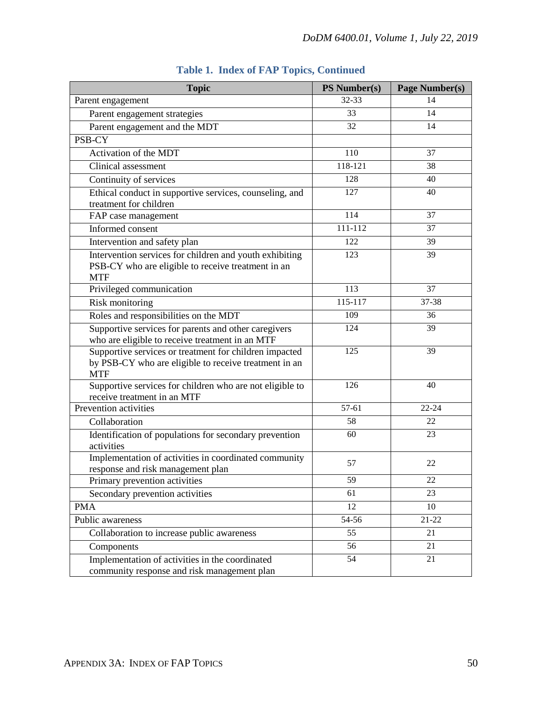| <b>Topic</b>                                                                                                    | <b>PS Number(s)</b> | Page Number(s)  |
|-----------------------------------------------------------------------------------------------------------------|---------------------|-----------------|
| Parent engagement                                                                                               | 32-33               | 14              |
| Parent engagement strategies                                                                                    | 33                  | 14              |
| Parent engagement and the MDT                                                                                   | 32                  | 14              |
| PSB-CY                                                                                                          |                     |                 |
| Activation of the MDT                                                                                           | 110                 | 37              |
| Clinical assessment                                                                                             | 118-121             | 38              |
| Continuity of services                                                                                          | 128                 | 40              |
| Ethical conduct in supportive services, counseling, and                                                         | 127                 | 40              |
| treatment for children                                                                                          |                     |                 |
| FAP case management                                                                                             | 114                 | 37              |
| Informed consent                                                                                                | $111 - 112$         | 37              |
| Intervention and safety plan                                                                                    | 122                 | 39              |
| Intervention services for children and youth exhibiting                                                         | 123                 | 39              |
| PSB-CY who are eligible to receive treatment in an                                                              |                     |                 |
| <b>MTF</b>                                                                                                      |                     |                 |
| Privileged communication                                                                                        | 113                 | 37              |
| Risk monitoring                                                                                                 | $115 - 117$         | 37-38           |
| Roles and responsibilities on the MDT                                                                           | 109                 | 36              |
| Supportive services for parents and other caregivers                                                            | 124                 | $\overline{39}$ |
| who are eligible to receive treatment in an MTF                                                                 | 125                 | 39              |
| Supportive services or treatment for children impacted<br>by PSB-CY who are eligible to receive treatment in an |                     |                 |
| <b>MTF</b>                                                                                                      |                     |                 |
| Supportive services for children who are not eligible to                                                        | 126                 | 40              |
| receive treatment in an MTF                                                                                     |                     |                 |
| Prevention activities                                                                                           | 57-61               | $22 - 24$       |
| Collaboration                                                                                                   | 58                  | 22              |
| Identification of populations for secondary prevention                                                          | 60                  | 23              |
| activities                                                                                                      |                     |                 |
| Implementation of activities in coordinated community                                                           | 57                  | 22              |
| response and risk management plan                                                                               |                     |                 |
| Primary prevention activities                                                                                   | 59                  | 22              |
| Secondary prevention activities                                                                                 | 61                  | 23              |
| <b>PMA</b>                                                                                                      | 12                  | 10              |
| Public awareness                                                                                                | 54-56               | $21 - 22$       |
| Collaboration to increase public awareness                                                                      | 55                  | 21              |
| Components                                                                                                      | 56                  | 21              |
| Implementation of activities in the coordinated                                                                 | 54                  | 21              |
| community response and risk management plan                                                                     |                     |                 |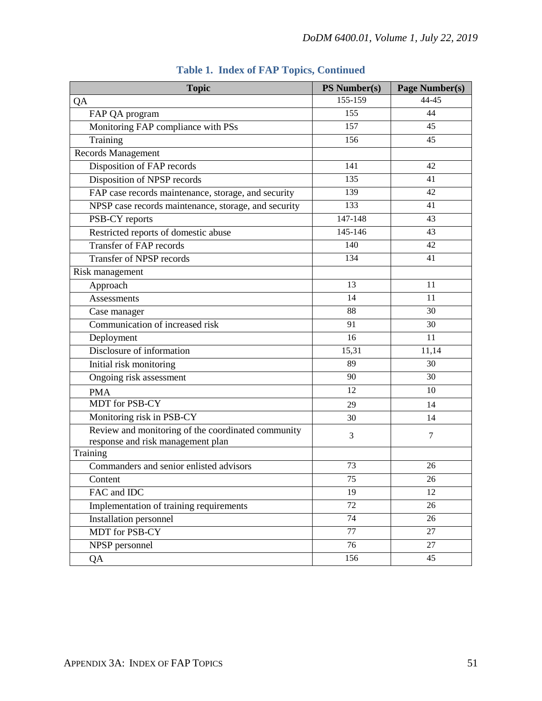| <b>Topic</b>                                                                            | <b>PS Number(s)</b> | Page Number(s) |
|-----------------------------------------------------------------------------------------|---------------------|----------------|
| QA                                                                                      | 155-159             | 44-45          |
| FAP QA program                                                                          | 155                 | 44             |
| Monitoring FAP compliance with PSs                                                      | 157                 | 45             |
| Training                                                                                | 156                 | 45             |
| Records Management                                                                      |                     |                |
| Disposition of FAP records                                                              | 141                 | 42             |
| Disposition of NPSP records                                                             | 135                 | 41             |
| FAP case records maintenance, storage, and security                                     | 139                 | 42             |
| NPSP case records maintenance, storage, and security                                    | 133                 | 41             |
| PSB-CY reports                                                                          | 147-148             | 43             |
| Restricted reports of domestic abuse                                                    | $145 - 146$         | 43             |
| <b>Transfer of FAP records</b>                                                          | 140                 | 42             |
| <b>Transfer of NPSP records</b>                                                         | 134                 | 41             |
| Risk management                                                                         |                     |                |
| Approach                                                                                | 13                  | 11             |
| Assessments                                                                             | 14                  | 11             |
| Case manager                                                                            | 88                  | 30             |
| Communication of increased risk                                                         | 91                  | 30             |
| Deployment                                                                              | 16                  | 11             |
| Disclosure of information                                                               | 15,31               | 11,14          |
| Initial risk monitoring                                                                 | 89                  | 30             |
| Ongoing risk assessment                                                                 | 90                  | 30             |
| <b>PMA</b>                                                                              | 12                  | 10             |
| <b>MDT</b> for PSB-CY                                                                   | 29                  | 14             |
| Monitoring risk in PSB-CY                                                               | 30                  | 14             |
| Review and monitoring of the coordinated community<br>response and risk management plan | 3                   | $\overline{7}$ |
| Training                                                                                |                     |                |
| Commanders and senior enlisted advisors                                                 | 73                  | 26             |
| Content                                                                                 | $\overline{75}$     | $26\,$         |
| FAC and IDC                                                                             | 19                  | 12             |
| Implementation of training requirements                                                 | 72                  | 26             |
| <b>Installation personnel</b>                                                           | 74                  | 26             |
| <b>MDT</b> for PSB-CY                                                                   | 77                  | 27             |
| NPSP personnel                                                                          | 76                  | 27             |
| QA                                                                                      | 156                 | 45             |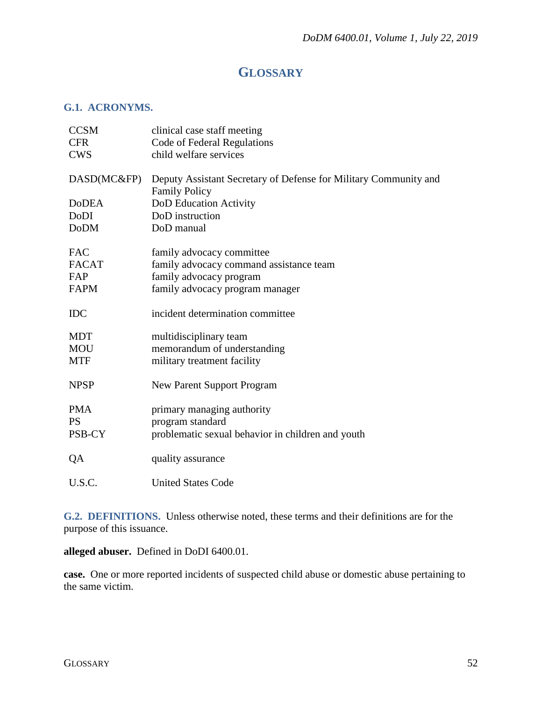# **GLOSSARY**

## <span id="page-51-1"></span><span id="page-51-0"></span>**G.1. ACRONYMS.**

| <b>CCSM</b><br><b>CFR</b><br><b>CWS</b>          | clinical case staff meeting<br>Code of Federal Regulations<br>child welfare services                                               |
|--------------------------------------------------|------------------------------------------------------------------------------------------------------------------------------------|
| DASD(MC&FP)                                      | Deputy Assistant Secretary of Defense for Military Community and<br><b>Family Policy</b>                                           |
| <b>DoDEA</b>                                     | DoD Education Activity                                                                                                             |
| DoDI                                             | DoD instruction                                                                                                                    |
| <b>DoDM</b>                                      | DoD manual                                                                                                                         |
| <b>FAC</b><br><b>FACAT</b><br>FAP<br><b>FAPM</b> | family advocacy committee<br>family advocacy command assistance team<br>family advocacy program<br>family advocacy program manager |
| <b>IDC</b>                                       | incident determination committee                                                                                                   |
| <b>MDT</b><br><b>MOU</b><br><b>MTF</b>           | multidisciplinary team<br>memorandum of understanding<br>military treatment facility                                               |
| <b>NPSP</b>                                      | <b>New Parent Support Program</b>                                                                                                  |
| <b>PMA</b><br><b>PS</b><br>PSB-CY                | primary managing authority<br>program standard<br>problematic sexual behavior in children and youth                                |
| QA                                               | quality assurance                                                                                                                  |
| U.S.C.                                           | <b>United States Code</b>                                                                                                          |

<span id="page-51-2"></span>**G.2. DEFINITIONS.** Unless otherwise noted, these terms and their definitions are for the purpose of this issuance.

**alleged abuser.** Defined in DoDI 6400.01.

**case.** One or more reported incidents of suspected child abuse or domestic abuse pertaining to the same victim.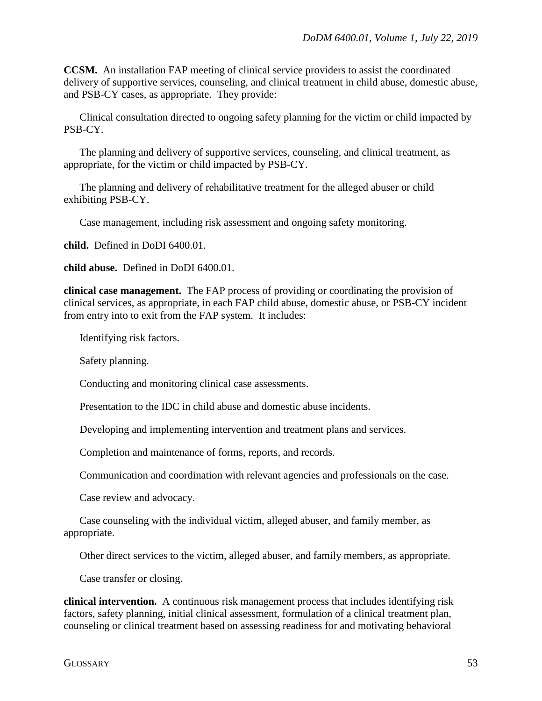**CCSM.** An installation FAP meeting of clinical service providers to assist the coordinated delivery of supportive services, counseling, and clinical treatment in child abuse, domestic abuse, and PSB-CY cases, as appropriate. They provide:

Clinical consultation directed to ongoing safety planning for the victim or child impacted by PSB-CY.

The planning and delivery of supportive services, counseling, and clinical treatment, as appropriate, for the victim or child impacted by PSB-CY.

The planning and delivery of rehabilitative treatment for the alleged abuser or child exhibiting PSB-CY.

Case management, including risk assessment and ongoing safety monitoring.

**child.** Defined in DoDI 6400.01.

**child abuse.** Defined in DoDI 6400.01.

**clinical case management.** The FAP process of providing or coordinating the provision of clinical services, as appropriate, in each FAP child abuse, domestic abuse, or PSB-CY incident from entry into to exit from the FAP system. It includes:

Identifying risk factors.

Safety planning.

Conducting and monitoring clinical case assessments.

Presentation to the IDC in child abuse and domestic abuse incidents.

Developing and implementing intervention and treatment plans and services.

Completion and maintenance of forms, reports, and records.

Communication and coordination with relevant agencies and professionals on the case.

Case review and advocacy.

Case counseling with the individual victim, alleged abuser, and family member, as appropriate.

Other direct services to the victim, alleged abuser, and family members, as appropriate.

Case transfer or closing.

**clinical intervention.** A continuous risk management process that includes identifying risk factors, safety planning, initial clinical assessment, formulation of a clinical treatment plan, counseling or clinical treatment based on assessing readiness for and motivating behavioral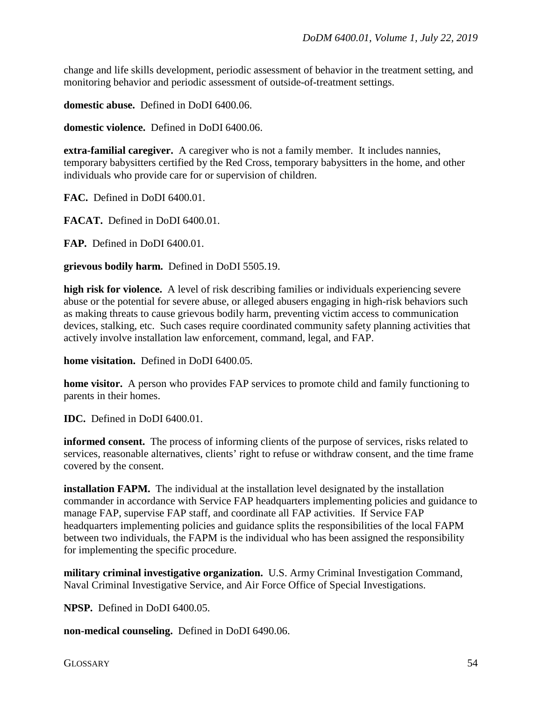change and life skills development, periodic assessment of behavior in the treatment setting, and monitoring behavior and periodic assessment of outside-of-treatment settings.

**domestic abuse.** Defined in DoDI 6400.06.

**domestic violence.** Defined in DoDI 6400.06.

**extra-familial caregiver.** A caregiver who is not a family member. It includes nannies, temporary babysitters certified by the Red Cross, temporary babysitters in the home, and other individuals who provide care for or supervision of children.

**FAC.** Defined in DoDI 6400.01.

**FACAT.** Defined in DoDI 6400.01.

**FAP.** Defined in DoDI 6400.01.

**grievous bodily harm.** Defined in DoDI 5505.19.

**high risk for violence.** A level of risk describing families or individuals experiencing severe abuse or the potential for severe abuse, or alleged abusers engaging in high-risk behaviors such as making threats to cause grievous bodily harm, preventing victim access to communication devices, stalking, etc. Such cases require coordinated community safety planning activities that actively involve installation law enforcement, command, legal, and FAP.

**home visitation.** Defined in DoDI 6400.05.

**home visitor.** A person who provides FAP services to promote child and family functioning to parents in their homes.

**IDC.** Defined in DoDI 6400.01.

**informed consent.** The process of informing clients of the purpose of services, risks related to services, reasonable alternatives, clients' right to refuse or withdraw consent, and the time frame covered by the consent.

**installation FAPM.** The individual at the installation level designated by the installation commander in accordance with Service FAP headquarters implementing policies and guidance to manage FAP, supervise FAP staff, and coordinate all FAP activities. If Service FAP headquarters implementing policies and guidance splits the responsibilities of the local FAPM between two individuals, the FAPM is the individual who has been assigned the responsibility for implementing the specific procedure.

**military criminal investigative organization.** U.S. Army Criminal Investigation Command, Naval Criminal Investigative Service, and Air Force Office of Special Investigations.

**NPSP.** Defined in DoDI 6400.05.

**non-medical counseling.** Defined in DoDI 6490.06.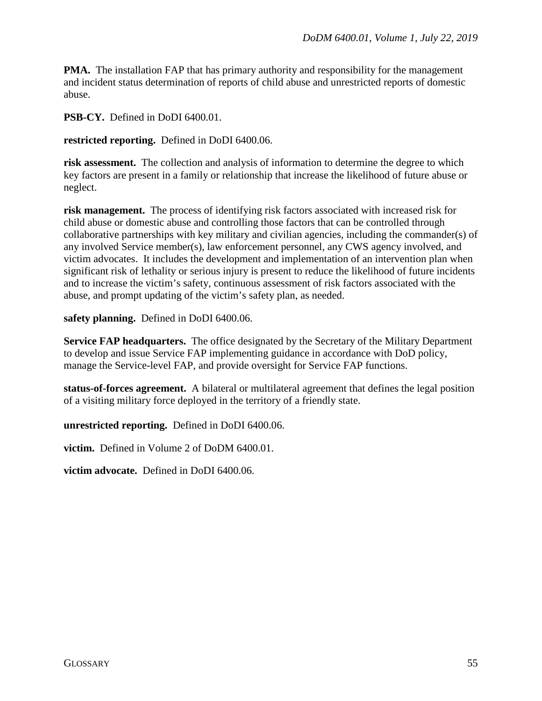**PMA.** The installation FAP that has primary authority and responsibility for the management and incident status determination of reports of child abuse and unrestricted reports of domestic abuse.

**PSB-CY.** Defined in DoDI 6400.01.

**restricted reporting.** Defined in DoDI 6400.06.

**risk assessment.** The collection and analysis of information to determine the degree to which key factors are present in a family or relationship that increase the likelihood of future abuse or neglect.

**risk management.** The process of identifying risk factors associated with increased risk for child abuse or domestic abuse and controlling those factors that can be controlled through collaborative partnerships with key military and civilian agencies, including the commander(s) of any involved Service member(s), law enforcement personnel, any CWS agency involved, and victim advocates. It includes the development and implementation of an intervention plan when significant risk of lethality or serious injury is present to reduce the likelihood of future incidents and to increase the victim's safety, continuous assessment of risk factors associated with the abuse, and prompt updating of the victim's safety plan, as needed.

**safety planning.** Defined in DoDI 6400.06.

**Service FAP headquarters.** The office designated by the Secretary of the Military Department to develop and issue Service FAP implementing guidance in accordance with DoD policy, manage the Service-level FAP, and provide oversight for Service FAP functions.

**status-of-forces agreement.** A bilateral or multilateral agreement that defines the legal position of a visiting military force deployed in the territory of a friendly state.

**unrestricted reporting.** Defined in DoDI 6400.06.

**victim.** Defined in Volume 2 of DoDM 6400.01.

**victim advocate.** Defined in DoDI 6400.06.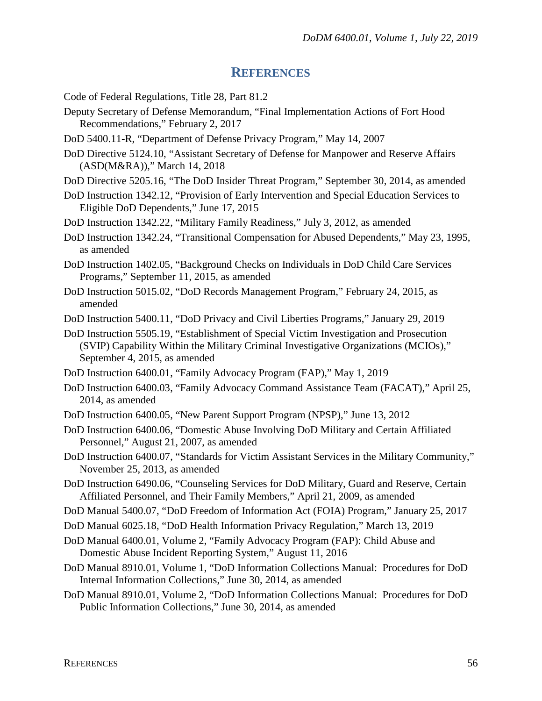# **REFERENCES**

- <span id="page-55-0"></span>Code of Federal Regulations, Title 28, Part 81.2
- Deputy Secretary of Defense Memorandum, "Final Implementation Actions of Fort Hood Recommendations," February 2, 2017
- DoD 5400.11-R, "Department of Defense Privacy Program," May 14, 2007
- DoD Directive 5124.10, "Assistant Secretary of Defense for Manpower and Reserve Affairs (ASD(M&RA))," March 14, 2018
- DoD Directive 5205.16, "The DoD Insider Threat Program," September 30, 2014, as amended
- DoD Instruction 1342.12, "Provision of Early Intervention and Special Education Services to Eligible DoD Dependents," June 17, 2015
- DoD Instruction 1342.22, "Military Family Readiness," July 3, 2012, as amended
- DoD Instruction 1342.24, "Transitional Compensation for Abused Dependents," May 23, 1995, as amended
- DoD Instruction 1402.05, "Background Checks on Individuals in DoD Child Care Services Programs," September 11, 2015, as amended
- DoD Instruction 5015.02, "DoD Records Management Program," February 24, 2015, as amended
- DoD Instruction 5400.11, "DoD Privacy and Civil Liberties Programs," January 29, 2019
- DoD Instruction 5505.19, "Establishment of Special Victim Investigation and Prosecution (SVIP) Capability Within the Military Criminal Investigative Organizations (MCIOs)," September 4, 2015, as amended
- DoD Instruction 6400.01, "Family Advocacy Program (FAP)," May 1, 2019
- DoD Instruction 6400.03, "Family Advocacy Command Assistance Team (FACAT)," April 25, 2014, as amended
- DoD Instruction 6400.05, "New Parent Support Program (NPSP)," June 13, 2012
- DoD Instruction 6400.06, "Domestic Abuse Involving DoD Military and Certain Affiliated Personnel," August 21, 2007, as amended
- DoD Instruction 6400.07, "Standards for Victim Assistant Services in the Military Community," November 25, 2013, as amended
- DoD Instruction 6490.06, "Counseling Services for DoD Military, Guard and Reserve, Certain Affiliated Personnel, and Their Family Members," April 21, 2009, as amended
- DoD Manual 5400.07, "DoD Freedom of Information Act (FOIA) Program," January 25, 2017
- DoD Manual 6025.18, "DoD Health Information Privacy Regulation," March 13, 2019
- DoD Manual 6400.01, Volume 2, "Family Advocacy Program (FAP): Child Abuse and Domestic Abuse Incident Reporting System," August 11, 2016
- DoD Manual 8910.01, Volume 1, "DoD Information Collections Manual: Procedures for DoD Internal Information Collections," June 30, 2014, as amended
- DoD Manual 8910.01, Volume 2, "DoD Information Collections Manual: Procedures for DoD Public Information Collections," June 30, 2014, as amended